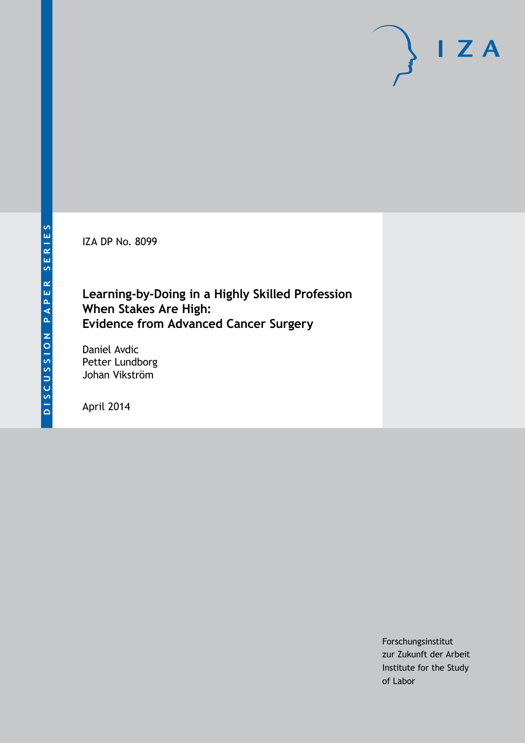IZA DP No. 8099

# **Learning-by-Doing in a Highly Skilled Profession When Stakes Are High: Evidence from Advanced Cancer Surgery**

Daniel Avdic Petter Lundborg Johan Vikström

April 2014

Forschungsinstitut zur Zukunft der Arbeit Institute for the Study of Labor

 $I Z A$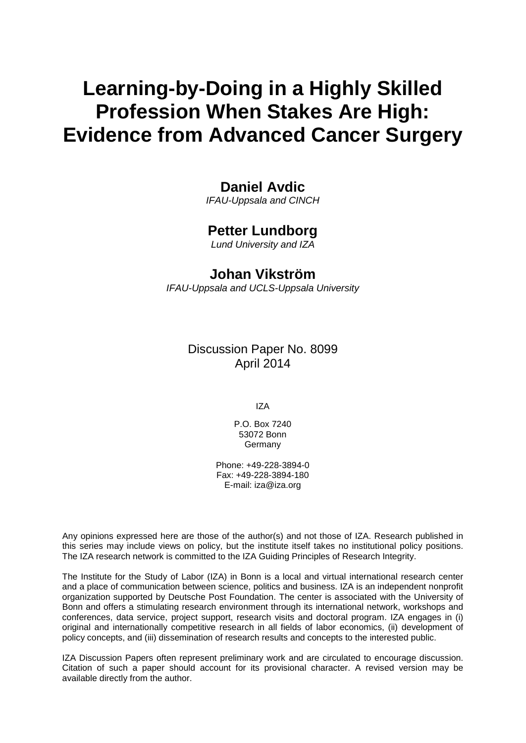# **Learning-by-Doing in a Highly Skilled Profession When Stakes Are High: Evidence from Advanced Cancer Surgery**

### **Daniel Avdic**

*IFAU-Uppsala and CINCH*

### **Petter Lundborg**

*Lund University and IZA*

### **Johan Vikström**

*IFAU-Uppsala and UCLS-Uppsala University*

Discussion Paper No. 8099 April 2014

IZA

P.O. Box 7240 53072 Bonn **Germany** 

Phone: +49-228-3894-0 Fax: +49-228-3894-180 E-mail: [iza@iza.org](mailto:iza@iza.org)

Any opinions expressed here are those of the author(s) and not those of IZA. Research published in this series may include views on policy, but the institute itself takes no institutional policy positions. The IZA research network is committed to the IZA Guiding Principles of Research Integrity.

The Institute for the Study of Labor (IZA) in Bonn is a local and virtual international research center and a place of communication between science, politics and business. IZA is an independent nonprofit organization supported by Deutsche Post Foundation. The center is associated with the University of Bonn and offers a stimulating research environment through its international network, workshops and conferences, data service, project support, research visits and doctoral program. IZA engages in (i) original and internationally competitive research in all fields of labor economics, (ii) development of policy concepts, and (iii) dissemination of research results and concepts to the interested public.

<span id="page-1-0"></span>IZA Discussion Papers often represent preliminary work and are circulated to encourage discussion. Citation of such a paper should account for its provisional character. A revised version may be available directly from the author.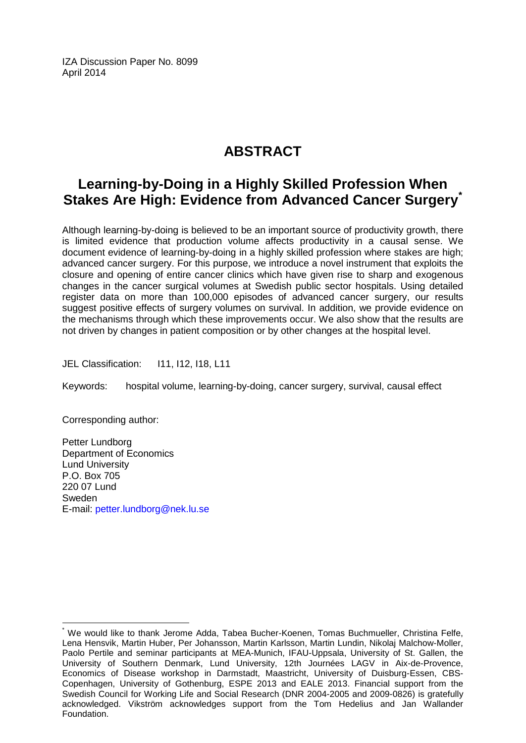IZA Discussion Paper No. 8099 April 2014

# **ABSTRACT**

# **Learning-by-Doing in a Highly Skilled Profession When Stakes Are High: Evidence from Advanced Cancer Surgery[\\*](#page-1-0)**

Although learning-by-doing is believed to be an important source of productivity growth, there is limited evidence that production volume affects productivity in a causal sense. We document evidence of learning-by-doing in a highly skilled profession where stakes are high; advanced cancer surgery. For this purpose, we introduce a novel instrument that exploits the closure and opening of entire cancer clinics which have given rise to sharp and exogenous changes in the cancer surgical volumes at Swedish public sector hospitals. Using detailed register data on more than 100,000 episodes of advanced cancer surgery, our results suggest positive effects of surgery volumes on survival. In addition, we provide evidence on the mechanisms through which these improvements occur. We also show that the results are not driven by changes in patient composition or by other changes at the hospital level.

JEL Classification: I11, I12, I18, L11

Keywords: hospital volume, learning-by-doing, cancer surgery, survival, causal effect

Corresponding author:

Petter Lundborg Department of Economics Lund University P.O. Box 705 220 07 Lund Sweden E-mail: [petter.lundborg@nek.lu.se](mailto:petter.lundborg@nek.lu.se)

We would like to thank Jerome Adda, Tabea Bucher-Koenen, Tomas Buchmueller, Christina Felfe, Lena Hensvik, Martin Huber, Per Johansson, Martin Karlsson, Martin Lundin, Nikolaj Malchow-Moller, Paolo Pertile and seminar participants at MEA-Munich, IFAU-Uppsala, University of St. Gallen, the University of Southern Denmark, Lund University, 12th Journées LAGV in Aix-de-Provence, Economics of Disease workshop in Darmstadt, Maastricht, University of Duisburg-Essen, CBS-Copenhagen, University of Gothenburg, ESPE 2013 and EALE 2013. Financial support from the Swedish Council for Working Life and Social Research (DNR 2004-2005 and 2009-0826) is gratefully acknowledged. Vikström acknowledges support from the Tom Hedelius and Jan Wallander Foundation.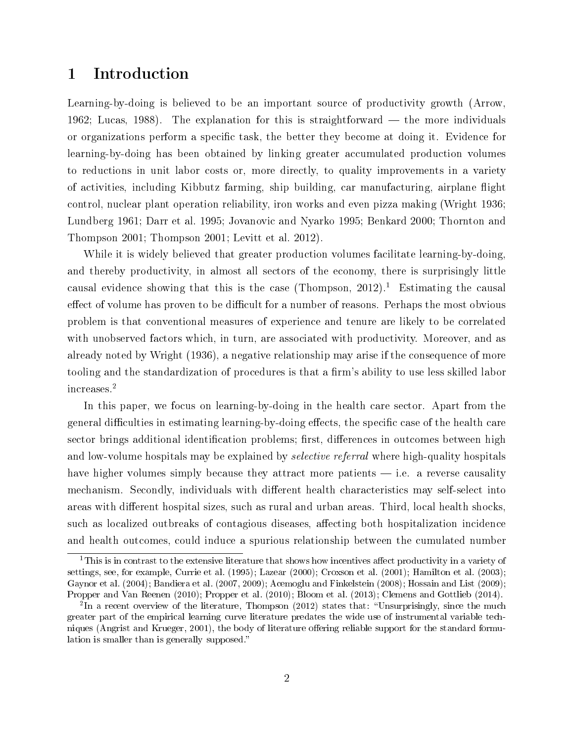### 1 Introduction

Learning-by-doing is believed to be an important source of productivity growth (Arrow, 1962; Lucas, 1988). The explanation for this is straightforward  $-$  the more individuals or organizations perform a specific task, the better they become at doing it. Evidence for learning-by-doing has been obtained by linking greater accumulated production volumes to reductions in unit labor costs or, more directly, to quality improvements in a variety of activities, including Kibbutz farming, ship building, car manufacturing, airplane flight control, nuclear plant operation reliability, iron works and even pizza making (Wright 1936; Lundberg 1961; Darr et al. 1995; Jovanovic and Nyarko 1995; Benkard 2000; Thornton and Thompson 2001; Thompson 2001; Levitt et al. 2012).

While it is widely believed that greater production volumes facilitate learning-by-doing, and thereby productivity, in almost all sectors of the economy, there is surprisingly little causal evidence showing that this is the case (Thompson,  $2012$ ).<sup>1</sup> Estimating the causal effect of volume has proven to be difficult for a number of reasons. Perhaps the most obvious problem is that conventional measures of experience and tenure are likely to be correlated with unobserved factors which, in turn, are associated with productivity. Moreover, and as already noted by Wright (1936), a negative relationship may arise if the consequence of more tooling and the standardization of procedures is that a firm's ability to use less skilled labor increases.<sup>2</sup>

In this paper, we focus on learning-by-doing in the health care sector. Apart from the general difficulties in estimating learning-by-doing effects, the specific case of the health care sector brings additional identification problems; first, differences in outcomes between high and low-volume hospitals may be explained by *selective referral* where high-quality hospitals have higher volumes simply because they attract more patients  $-$  i.e. a reverse causality mechanism. Secondly, individuals with different health characteristics may self-select into areas with different hospital sizes, such as rural and urban areas. Third, local health shocks, such as localized outbreaks of contagious diseases, affecting both hospitalization incidence and health outcomes, could induce a spurious relationship between the cumulated number

<sup>&</sup>lt;sup>1</sup>This is in contrast to the extensive literature that shows how incentives affect productivity in a variety of settings, see, for example, Currie et al. (1995); Lazear (2000); Croxson et al. (2001); Hamilton et al. (2003); Gaynor et al. (2004); Bandiera et al. (2007, 2009); Acemoglu and Finkelstein (2008); Hossain and List (2009); Propper and Van Reenen (2010); Propper et al. (2010); Bloom et al. (2013); Clemens and Gottlieb (2014).

<sup>&</sup>lt;sup>2</sup>In a recent overview of the literature, Thompson (2012) states that: "Unsurprisingly, since the much greater part of the empirical learning curve literature predates the wide use of instrumental variable techniques (Angrist and Krueger, 2001), the body of literature offering reliable support for the standard formulation is smaller than is generally supposed.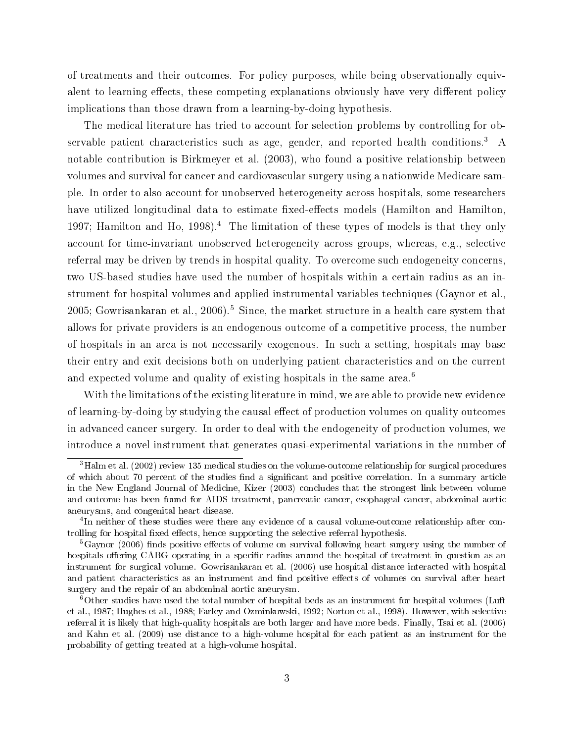of treatments and their outcomes. For policy purposes, while being observationally equivalent to learning effects, these competing explanations obviously have very different policy implications than those drawn from a learning-by-doing hypothesis.

The medical literature has tried to account for selection problems by controlling for observable patient characteristics such as age, gender, and reported health conditions.<sup>3</sup> A notable contribution is Birkmeyer et al. (2003), who found a positive relationship between volumes and survival for cancer and cardiovascular surgery using a nationwide Medicare sample. In order to also account for unobserved heterogeneity across hospitals, some researchers have utilized longitudinal data to estimate fixed-effects models (Hamilton and Hamilton, 1997; Hamilton and Ho, 1998).<sup>4</sup> The limitation of these types of models is that they only account for time-invariant unobserved heterogeneity across groups, whereas, e.g., selective referral may be driven by trends in hospital quality. To overcome such endogeneity concerns, two US-based studies have used the number of hospitals within a certain radius as an instrument for hospital volumes and applied instrumental variables techniques (Gaynor et al., 2005; Gowrisankaran et al., 2006).<sup>5</sup> Since, the market structure in a health care system that allows for private providers is an endogenous outcome of a competitive process, the number of hospitals in an area is not necessarily exogenous. In such a setting, hospitals may base their entry and exit decisions both on underlying patient characteristics and on the current and expected volume and quality of existing hospitals in the same area.<sup>6</sup>

With the limitations of the existing literature in mind, we are able to provide new evidence of learning-by-doing by studying the causal effect of production volumes on quality outcomes in advanced cancer surgery. In order to deal with the endogeneity of production volumes, we introduce a novel instrument that generates quasi-experimental variations in the number of

<sup>&</sup>lt;sup>3</sup>Halm et al. (2002) review 135 medical studies on the volume-outcome relationship for surgical procedures of which about 70 percent of the studies nd a signicant and positive correlation. In a summary article in the New England Journal of Medicine, Kizer (2003) concludes that the strongest link between volume and outcome has been found for AIDS treatment, pancreatic cancer, esophageal cancer, abdominal aortic aneurysms, and congenital heart disease.

<sup>&</sup>lt;sup>4</sup>In neither of these studies were there any evidence of a causal volume-outcome relationship after controlling for hospital fixed effects, hence supporting the selective referral hypothesis.

 ${}^5G$ aynor (2006) finds positive effects of volume on survival following heart surgery using the number of hospitals offering CABG operating in a specific radius around the hospital of treatment in question as an instrument for surgical volume. Gowrisankaran et al. (2006) use hospital distance interacted with hospital and patient characteristics as an instrument and find positive effects of volumes on survival after heart surgery and the repair of an abdominal aortic aneurysm.

<sup>6</sup>Other studies have used the total number of hospital beds as an instrument for hospital volumes (Luft et al., 1987; Hughes et al., 1988; Farley and Ozminkowski, 1992; Norton et al., 1998). However, with selective referral it is likely that high-quality hospitals are both larger and have more beds. Finally, Tsai et al. (2006) and Kahn et al. (2009) use distance to a high-volume hospital for each patient as an instrument for the probability of getting treated at a high-volume hospital.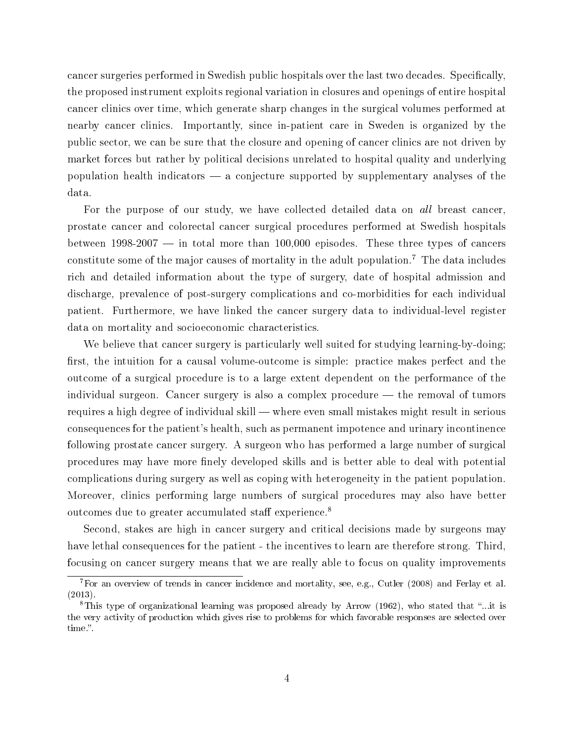cancer surgeries performed in Swedish public hospitals over the last two decades. Specifically, the proposed instrument exploits regional variation in closures and openings of entire hospital cancer clinics over time, which generate sharp changes in the surgical volumes performed at nearby cancer clinics. Importantly, since in-patient care in Sweden is organized by the public sector, we can be sure that the closure and opening of cancer clinics are not driven by market forces but rather by political decisions unrelated to hospital quality and underlying population health indicators  $\frac{a}{b}$  conjecture supported by supplementary analyses of the data.

For the purpose of our study, we have collected detailed data on *all* breast cancer, prostate cancer and colorectal cancer surgical procedures performed at Swedish hospitals between  $1998-2007$  — in total more than  $100,000$  episodes. These three types of cancers constitute some of the major causes of mortality in the adult population.<sup>7</sup> The data includes rich and detailed information about the type of surgery, date of hospital admission and discharge, prevalence of post-surgery complications and co-morbidities for each individual patient. Furthermore, we have linked the cancer surgery data to individual-level register data on mortality and socioeconomic characteristics.

We believe that cancer surgery is particularly well suited for studying learning-by-doing; first, the intuition for a causal volume-outcome is simple: practice makes perfect and the outcome of a surgical procedure is to a large extent dependent on the performance of the individual surgeon. Cancer surgery is also a complex procedure  $-$  the removal of tumors requires a high degree of individual skill — where even small mistakes might result in serious consequences for the patient's health, such as permanent impotence and urinary incontinence following prostate cancer surgery. A surgeon who has performed a large number of surgical procedures may have more finely developed skills and is better able to deal with potential complications during surgery as well as coping with heterogeneity in the patient population. Moreover, clinics performing large numbers of surgical procedures may also have better outcomes due to greater accumulated staff experience.<sup>8</sup>

Second, stakes are high in cancer surgery and critical decisions made by surgeons may have lethal consequences for the patient - the incentives to learn are therefore strong. Third, focusing on cancer surgery means that we are really able to focus on quality improvements

<sup>7</sup>For an overview of trends in cancer incidence and mortality, see, e.g., Cutler (2008) and Ferlay et al. (2013).

 ${}^8$ This type of organizational learning was proposed already by Arrow (1962), who stated that "...it is the very activity of production which gives rise to problems for which favorable responses are selected over time."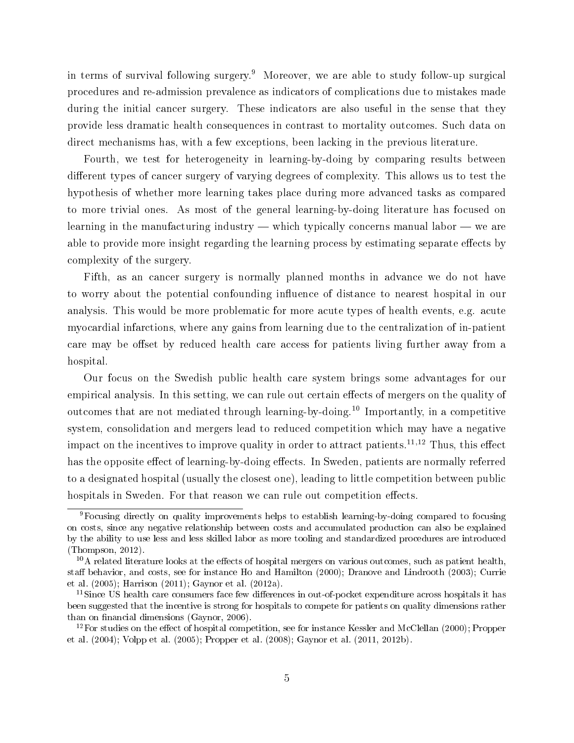in terms of survival following surgery.<sup>9</sup> Moreover, we are able to study follow-up surgical procedures and re-admission prevalence as indicators of complications due to mistakes made during the initial cancer surgery. These indicators are also useful in the sense that they provide less dramatic health consequences in contrast to mortality outcomes. Such data on direct mechanisms has, with a few exceptions, been lacking in the previous literature.

Fourth, we test for heterogeneity in learning-by-doing by comparing results between different types of cancer surgery of varying degrees of complexity. This allows us to test the hypothesis of whether more learning takes place during more advanced tasks as compared to more trivial ones. As most of the general learning-by-doing literature has focused on learning in the manufacturing industry  $-$  which typically concerns manual labor  $-$  we are able to provide more insight regarding the learning process by estimating separate effects by complexity of the surgery.

Fifth, as an cancer surgery is normally planned months in advance we do not have to worry about the potential confounding influence of distance to nearest hospital in our analysis. This would be more problematic for more acute types of health events, e.g. acute myocardial infarctions, where any gains from learning due to the centralization of in-patient care may be offset by reduced health care access for patients living further away from a hospital.

Our focus on the Swedish public health care system brings some advantages for our empirical analysis. In this setting, we can rule out certain effects of mergers on the quality of outcomes that are not mediated through learning-by-doing.<sup>10</sup> Importantly, in a competitive system, consolidation and mergers lead to reduced competition which may have a negative impact on the incentives to improve quality in order to attract patients.<sup>11,12</sup> Thus, this effect has the opposite effect of learning-by-doing effects. In Sweden, patients are normally referred to a designated hospital (usually the closest one), leading to little competition between public hospitals in Sweden. For that reason we can rule out competition effects.

<sup>9</sup>Focusing directly on quality improvements helps to establish learning-by-doing compared to focusing on costs, since any negative relationship between costs and accumulated production can also be explained by the ability to use less and less skilled labor as more tooling and standardized procedures are introduced (Thompson, 2012).

 $10A$  related literature looks at the effects of hospital mergers on various outcomes, such as patient health, staff behavior, and costs, see for instance Ho and Hamilton (2000); Dranove and Lindrooth (2003); Currie et al. (2005); Harrison (2011); Gaynor et al. (2012a).

 $11$ Since US health care consumers face few differences in out-of-pocket expenditure across hospitals it has been suggested that the incentive is strong for hospitals to compete for patients on quality dimensions rather than on financial dimensions  $(Gaynor, 2006)$ .

<sup>&</sup>lt;sup>12</sup>For studies on the effect of hospital competition, see for instance Kessler and McClellan (2000); Propper et al. (2004); Volpp et al. (2005); Propper et al. (2008); Gaynor et al. (2011, 2012b).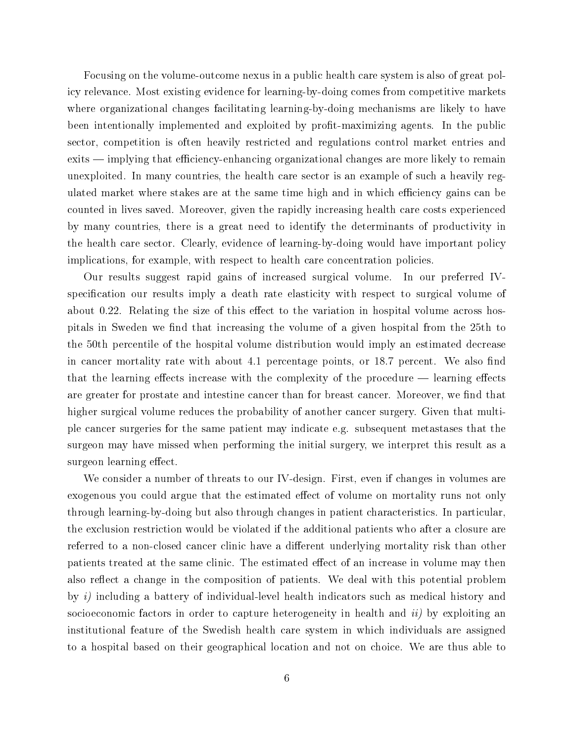Focusing on the volume-outcome nexus in a public health care system is also of great policy relevance. Most existing evidence for learning-by-doing comes from competitive markets where organizational changes facilitating learning-by-doing mechanisms are likely to have been intentionally implemented and exploited by profit-maximizing agents. In the public sector, competition is often heavily restricted and regulations control market entries and exits – implying that efficiency-enhancing organizational changes are more likely to remain unexploited. In many countries, the health care sector is an example of such a heavily regulated market where stakes are at the same time high and in which efficiency gains can be counted in lives saved. Moreover, given the rapidly increasing health care costs experienced by many countries, there is a great need to identify the determinants of productivity in the health care sector. Clearly, evidence of learning-by-doing would have important policy implications, for example, with respect to health care concentration policies.

Our results suggest rapid gains of increased surgical volume. In our preferred IVspecification our results imply a death rate elasticity with respect to surgical volume of about 0.22. Relating the size of this effect to the variation in hospital volume across hospitals in Sweden we nd that increasing the volume of a given hospital from the 25th to the 50th percentile of the hospital volume distribution would imply an estimated decrease in cancer mortality rate with about 4.1 percentage points, or  $18.7$  percent. We also find that the learning effects increase with the complexity of the procedure  $-$  learning effects are greater for prostate and intestine cancer than for breast cancer. Moreover, we find that higher surgical volume reduces the probability of another cancer surgery. Given that multiple cancer surgeries for the same patient may indicate e.g. subsequent metastases that the surgeon may have missed when performing the initial surgery, we interpret this result as a surgeon learning effect.

We consider a number of threats to our IV-design. First, even if changes in volumes are exogenous you could argue that the estimated effect of volume on mortality runs not only through learning-by-doing but also through changes in patient characteristics. In particular, the exclusion restriction would be violated if the additional patients who after a closure are referred to a non-closed cancer clinic have a different underlying mortality risk than other patients treated at the same clinic. The estimated effect of an increase in volume may then also reflect a change in the composition of patients. We deal with this potential problem by i) including a battery of individual-level health indicators such as medical history and socioeconomic factors in order to capture heterogeneity in health and  $ii$ ) by exploiting an institutional feature of the Swedish health care system in which individuals are assigned to a hospital based on their geographical location and not on choice. We are thus able to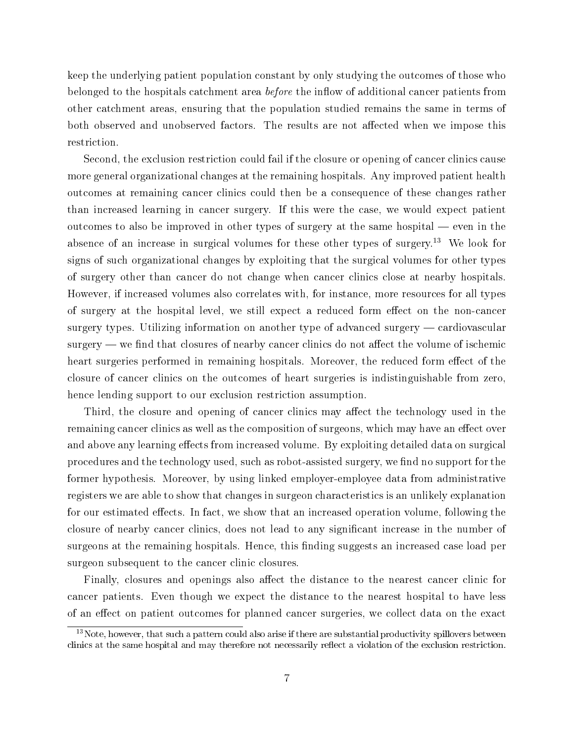keep the underlying patient population constant by only studying the outcomes of those who belonged to the hospitals catchment area *before* the inflow of additional cancer patients from other catchment areas, ensuring that the population studied remains the same in terms of both observed and unobserved factors. The results are not affected when we impose this restriction.

Second, the exclusion restriction could fail if the closure or opening of cancer clinics cause more general organizational changes at the remaining hospitals. Any improved patient health outcomes at remaining cancer clinics could then be a consequence of these changes rather than increased learning in cancer surgery. If this were the case, we would expect patient outcomes to also be improved in other types of surgery at the same hospital  $-$  even in the absence of an increase in surgical volumes for these other types of surgery.<sup>13</sup> We look for signs of such organizational changes by exploiting that the surgical volumes for other types of surgery other than cancer do not change when cancer clinics close at nearby hospitals. However, if increased volumes also correlates with, for instance, more resources for all types of surgery at the hospital level, we still expect a reduced form effect on the non-cancer surgery types. Utilizing information on another type of advanced surgery — cardiovascular surgery — we find that closures of nearby cancer clinics do not affect the volume of ischemic heart surgeries performed in remaining hospitals. Moreover, the reduced form effect of the closure of cancer clinics on the outcomes of heart surgeries is indistinguishable from zero, hence lending support to our exclusion restriction assumption.

Third, the closure and opening of cancer clinics may affect the technology used in the remaining cancer clinics as well as the composition of surgeons, which may have an effect over and above any learning effects from increased volume. By exploiting detailed data on surgical procedures and the technology used, such as robot-assisted surgery, we find no support for the former hypothesis. Moreover, by using linked employer-employee data from administrative registers we are able to show that changes in surgeon characteristics is an unlikely explanation for our estimated effects. In fact, we show that an increased operation volume, following the closure of nearby cancer clinics, does not lead to any signicant increase in the number of surgeons at the remaining hospitals. Hence, this finding suggests an increased case load per surgeon subsequent to the cancer clinic closures.

Finally, closures and openings also affect the distance to the nearest cancer clinic for cancer patients. Even though we expect the distance to the nearest hospital to have less of an effect on patient outcomes for planned cancer surgeries, we collect data on the exact

 $13$ Note, however, that such a pattern could also arise if there are substantial productivity spillovers between clinics at the same hospital and may therefore not necessarily reflect a violation of the exclusion restriction.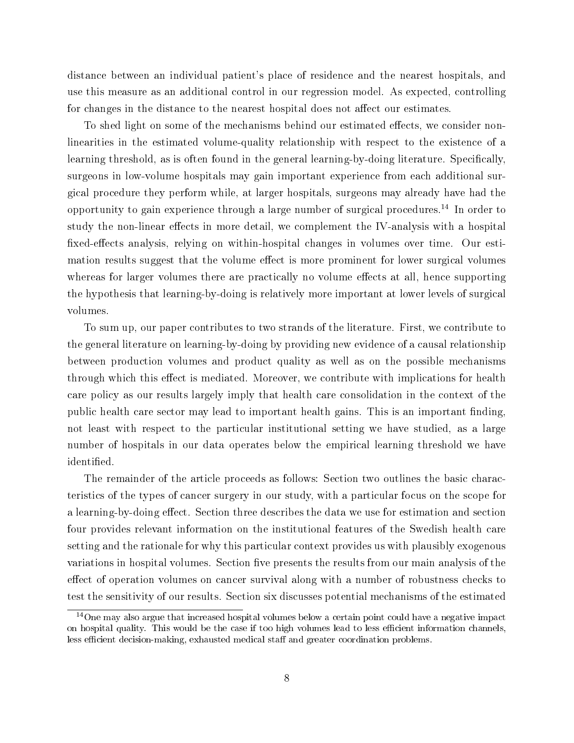distance between an individual patient's place of residence and the nearest hospitals, and use this measure as an additional control in our regression model. As expected, controlling for changes in the distance to the nearest hospital does not affect our estimates.

To shed light on some of the mechanisms behind our estimated effects, we consider nonlinearities in the estimated volume-quality relationship with respect to the existence of a learning threshold, as is often found in the general learning-by-doing literature. Specifically, surgeons in low-volume hospitals may gain important experience from each additional surgical procedure they perform while, at larger hospitals, surgeons may already have had the opportunity to gain experience through a large number of surgical procedures.<sup>14</sup> In order to study the non-linear effects in more detail, we complement the IV-analysis with a hospital fixed-effects analysis, relying on within-hospital changes in volumes over time. Our estimation results suggest that the volume effect is more prominent for lower surgical volumes whereas for larger volumes there are practically no volume effects at all, hence supporting the hypothesis that learning-by-doing is relatively more important at lower levels of surgical volumes.

To sum up, our paper contributes to two strands of the literature. First, we contribute to the general literature on learning-by-doing by providing new evidence of a causal relationship between production volumes and product quality as well as on the possible mechanisms through which this effect is mediated. Moreover, we contribute with implications for health care policy as our results largely imply that health care consolidation in the context of the public health care sector may lead to important health gains. This is an important finding, not least with respect to the particular institutional setting we have studied, as a large number of hospitals in our data operates below the empirical learning threshold we have identified.

The remainder of the article proceeds as follows: Section two outlines the basic characteristics of the types of cancer surgery in our study, with a particular focus on the scope for a learning-by-doing effect. Section three describes the data we use for estimation and section four provides relevant information on the institutional features of the Swedish health care setting and the rationale for why this particular context provides us with plausibly exogenous variations in hospital volumes. Section five presents the results from our main analysis of the effect of operation volumes on cancer survival along with a number of robustness checks to test the sensitivity of our results. Section six discusses potential mechanisms of the estimated

<sup>14</sup>One may also argue that increased hospital volumes below a certain point could have a negative impact on hospital quality. This would be the case if too high volumes lead to less efficient information channels, less efficient decision-making, exhausted medical staff and greater coordination problems.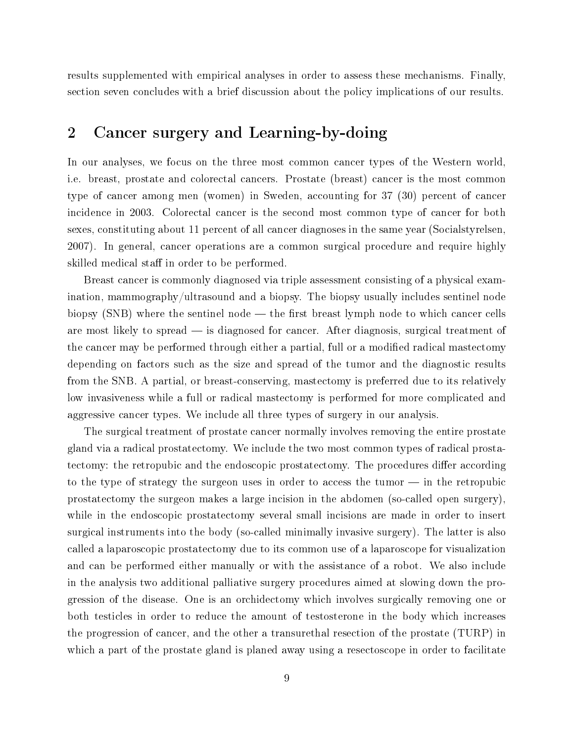results supplemented with empirical analyses in order to assess these mechanisms. Finally, section seven concludes with a brief discussion about the policy implications of our results.

# 2 Cancer surgery and Learning-by-doing

In our analyses, we focus on the three most common cancer types of the Western world, i.e. breast, prostate and colorectal cancers. Prostate (breast) cancer is the most common type of cancer among men (women) in Sweden, accounting for 37 (30) percent of cancer incidence in 2003. Colorectal cancer is the second most common type of cancer for both sexes, constituting about 11 percent of all cancer diagnoses in the same year (Socialstyrelsen, 2007). In general, cancer operations are a common surgical procedure and require highly skilled medical staff in order to be performed.

Breast cancer is commonly diagnosed via triple assessment consisting of a physical examination, mammography/ultrasound and a biopsy. The biopsy usually includes sentinel node biopsy (SNB) where the sentinel node  $-$  the first breast lymph node to which cancer cells are most likely to spread — is diagnosed for cancer. After diagnosis, surgical treatment of the cancer may be performed through either a partial, full or a modified radical mastectomy depending on factors such as the size and spread of the tumor and the diagnostic results from the SNB. A partial, or breast-conserving, mastectomy is preferred due to its relatively low invasiveness while a full or radical mastectomy is performed for more complicated and aggressive cancer types. We include all three types of surgery in our analysis.

The surgical treatment of prostate cancer normally involves removing the entire prostate gland via a radical prostatectomy. We include the two most common types of radical prostatectomy: the retropubic and the endoscopic prostatectomy. The procedures differ according to the type of strategy the surgeon uses in order to access the tumor  $-$  in the retropubic prostatectomy the surgeon makes a large incision in the abdomen (so-called open surgery), while in the endoscopic prostatectomy several small incisions are made in order to insert surgical instruments into the body (so-called minimally invasive surgery). The latter is also called a laparoscopic prostatectomy due to its common use of a laparoscope for visualization and can be performed either manually or with the assistance of a robot. We also include in the analysis two additional palliative surgery procedures aimed at slowing down the progression of the disease. One is an orchidectomy which involves surgically removing one or both testicles in order to reduce the amount of testosterone in the body which increases the progression of cancer, and the other a transurethal resection of the prostate (TURP) in which a part of the prostate gland is planed away using a resectoscope in order to facilitate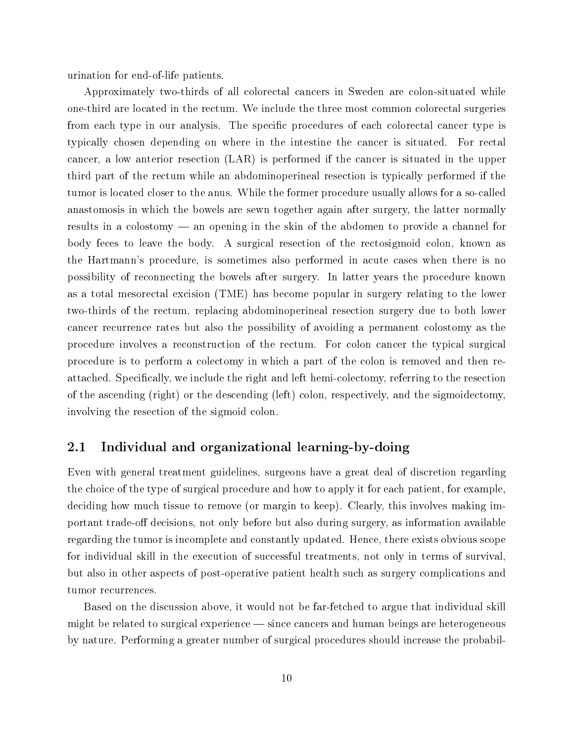urination for end-of-life patients.

Approximately two-thirds of all colorectal cancers in Sweden are colon-situated while one-third are located in the rectum. We include the three most common colorectal surgeries from each type in our analysis. The specific procedures of each colorectal cancer type is typically chosen depending on where in the intestine the cancer is situated. For rectal cancer, a low anterior resection (LAR) is performed if the cancer is situated in the upper third part of the rectum while an abdominoperineal resection is typically performed if the tumor is located closer to the anus. While the former procedure usually allows for a so-called anastomosis in which the bowels are sewn together again after surgery, the latter normally results in a colostomy  $-$  an opening in the skin of the abdomen to provide a channel for body feces to leave the body. A surgical resection of the rectosigmoid colon, known as the Hartmann's procedure, is sometimes also performed in acute cases when there is no possibility of reconnecting the bowels after surgery. In latter years the procedure known as a total mesorectal excision (TME) has become popular in surgery relating to the lower two-thirds of the rectum, replacing abdominoperineal resection surgery due to both lower cancer recurrence rates but also the possibility of avoiding a permanent colostomy as the procedure involves a reconstruction of the rectum. For colon cancer the typical surgical procedure is to perform a colectomy in which a part of the colon is removed and then reattached. Specifically, we include the right and left hemi-colectomy, referring to the resection of the ascending (right) or the descending (left) colon, respectively, and the sigmoidectomy, involving the resection of the sigmoid colon.

### 2.1 Individual and organizational learning-by-doing

Even with general treatment guidelines, surgeons have a great deal of discretion regarding the choice of the type of surgical procedure and how to apply it for each patient, for example, deciding how much tissue to remove (or margin to keep). Clearly, this involves making important trade-off decisions, not only before but also during surgery, as information available regarding the tumor is incomplete and constantly updated. Hence, there exists obvious scope for individual skill in the execution of successful treatments, not only in terms of survival, but also in other aspects of post-operative patient health such as surgery complications and tumor recurrences.

Based on the discussion above, it would not be far-fetched to argue that individual skill might be related to surgical experience  $-$  since cancers and human beings are heterogeneous by nature. Performing a greater number of surgical procedures should increase the probabil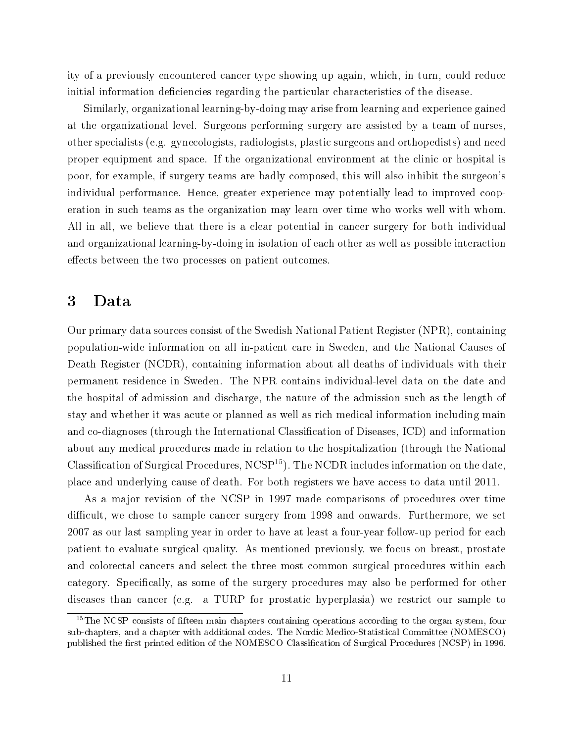ity of a previously encountered cancer type showing up again, which, in turn, could reduce initial information deficiencies regarding the particular characteristics of the disease.

Similarly, organizational learning-by-doing may arise from learning and experience gained at the organizational level. Surgeons performing surgery are assisted by a team of nurses, other specialists (e.g. gynecologists, radiologists, plastic surgeons and orthopedists) and need proper equipment and space. If the organizational environment at the clinic or hospital is poor, for example, if surgery teams are badly composed, this will also inhibit the surgeon's individual performance. Hence, greater experience may potentially lead to improved cooperation in such teams as the organization may learn over time who works well with whom. All in all, we believe that there is a clear potential in cancer surgery for both individual and organizational learning-by-doing in isolation of each other as well as possible interaction effects between the two processes on patient outcomes.

### 3 Data

Our primary data sources consist of the Swedish National Patient Register (NPR), containing population-wide information on all in-patient care in Sweden, and the National Causes of Death Register (NCDR), containing information about all deaths of individuals with their permanent residence in Sweden. The NPR contains individual-level data on the date and the hospital of admission and discharge, the nature of the admission such as the length of stay and whether it was acute or planned as well as rich medical information including main and co-diagnoses (through the International Classification of Diseases, ICD) and information about any medical procedures made in relation to the hospitalization (through the National Classification of Surgical Procedures,  $N\text{CSP}^{15}$ ). The NCDR includes information on the date. place and underlying cause of death. For both registers we have access to data until 2011.

As a major revision of the NCSP in 1997 made comparisons of procedures over time difficult, we chose to sample cancer surgery from 1998 and onwards. Furthermore, we set 2007 as our last sampling year in order to have at least a four-year follow-up period for each patient to evaluate surgical quality. As mentioned previously, we focus on breast, prostate and colorectal cancers and select the three most common surgical procedures within each category. Specifically, as some of the surgery procedures may also be performed for other diseases than cancer (e.g. a TURP for prostatic hyperplasia) we restrict our sample to

<sup>&</sup>lt;sup>15</sup>The NCSP consists of fifteen main chapters containing operations according to the organ system, four sub-chapters, and a chapter with additional codes. The Nordic Medico-Statistical Committee (NOMESCO) published the first printed edition of the NOMESCO Classification of Surgical Procedures (NCSP) in 1996.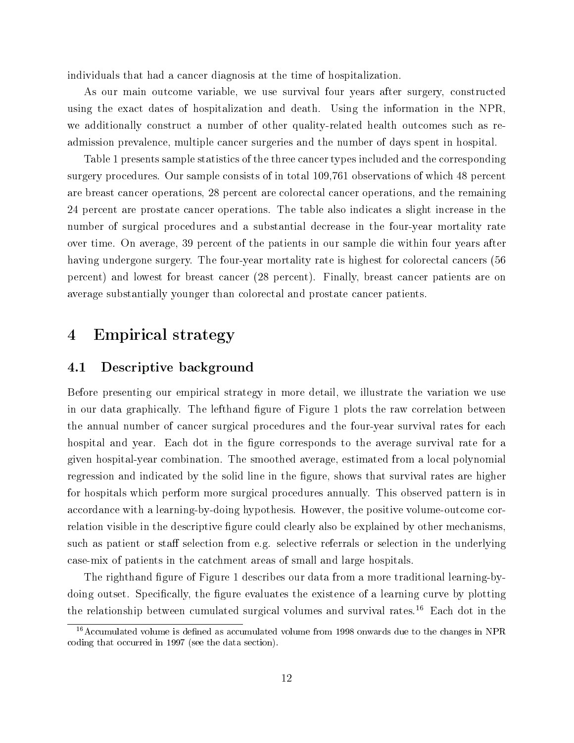individuals that had a cancer diagnosis at the time of hospitalization.

As our main outcome variable, we use survival four years after surgery, constructed using the exact dates of hospitalization and death. Using the information in the NPR, we additionally construct a number of other quality-related health outcomes such as readmission prevalence, multiple cancer surgeries and the number of days spent in hospital.

Table 1 presents sample statistics of the three cancer types included and the corresponding surgery procedures. Our sample consists of in total 109,761 observations of which 48 percent are breast cancer operations, 28 percent are colorectal cancer operations, and the remaining 24 percent are prostate cancer operations. The table also indicates a slight increase in the number of surgical procedures and a substantial decrease in the four-year mortality rate over time. On average, 39 percent of the patients in our sample die within four years after having undergone surgery. The four-year mortality rate is highest for colorectal cancers (56 percent) and lowest for breast cancer (28 percent). Finally, breast cancer patients are on average substantially younger than colorectal and prostate cancer patients.

### 4 Empirical strategy

#### 4.1 Descriptive background

Before presenting our empirical strategy in more detail, we illustrate the variation we use in our data graphically. The lefthand figure of Figure 1 plots the raw correlation between the annual number of cancer surgical procedures and the four-year survival rates for each hospital and year. Each dot in the figure corresponds to the average survival rate for a given hospital-year combination. The smoothed average, estimated from a local polynomial regression and indicated by the solid line in the figure, shows that survival rates are higher for hospitals which perform more surgical procedures annually. This observed pattern is in accordance with a learning-by-doing hypothesis. However, the positive volume-outcome correlation visible in the descriptive figure could clearly also be explained by other mechanisms. such as patient or staff selection from e.g. selective referrals or selection in the underlying case-mix of patients in the catchment areas of small and large hospitals.

The righthand figure of Figure 1 describes our data from a more traditional learning-bydoing outset. Specifically, the figure evaluates the existence of a learning curve by plotting the relationship between cumulated surgical volumes and survival rates.<sup>16</sup> Each dot in the

 $16$ Accumulated volume is defined as accumulated volume from 1998 onwards due to the changes in NPR coding that occurred in 1997 (see the data section).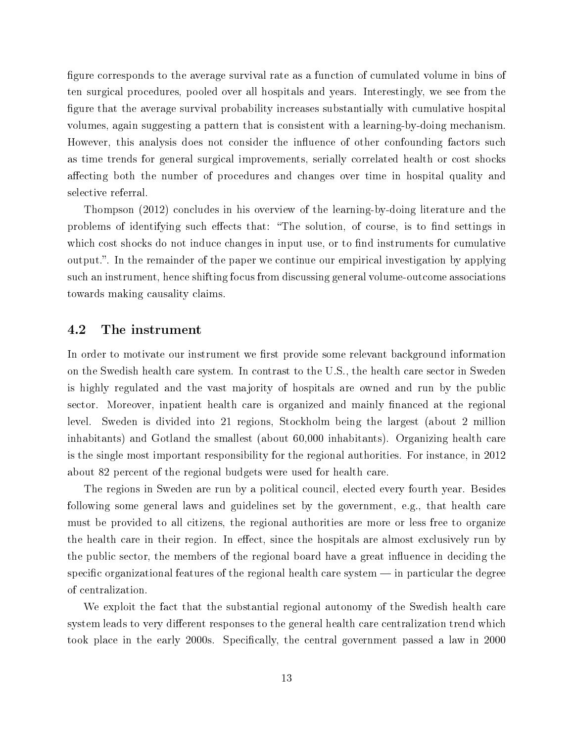figure corresponds to the average survival rate as a function of cumulated volume in bins of ten surgical procedures, pooled over all hospitals and years. Interestingly, we see from the figure that the average survival probability increases substantially with cumulative hospital volumes, again suggesting a pattern that is consistent with a learning-by-doing mechanism. However, this analysis does not consider the influence of other confounding factors such as time trends for general surgical improvements, serially correlated health or cost shocks affecting both the number of procedures and changes over time in hospital quality and selective referral.

Thompson (2012) concludes in his overview of the learning-by-doing literature and the problems of identifying such effects that: "The solution, of course, is to find settings in which cost shocks do not induce changes in input use, or to find instruments for cumulative output.". In the remainder of the paper we continue our empirical investigation by applying such an instrument, hence shifting focus from discussing general volume-outcome associations towards making causality claims.

#### 4.2 The instrument

In order to motivate our instrument we first provide some relevant background information on the Swedish health care system. In contrast to the U.S., the health care sector in Sweden is highly regulated and the vast majority of hospitals are owned and run by the public sector. Moreover, inpatient health care is organized and mainly financed at the regional level. Sweden is divided into 21 regions, Stockholm being the largest (about 2 million inhabitants) and Gotland the smallest (about 60,000 inhabitants). Organizing health care is the single most important responsibility for the regional authorities. For instance, in 2012 about 82 percent of the regional budgets were used for health care.

The regions in Sweden are run by a political council, elected every fourth year. Besides following some general laws and guidelines set by the government, e.g., that health care must be provided to all citizens, the regional authorities are more or less free to organize the health care in their region. In effect, since the hospitals are almost exclusively run by the public sector, the members of the regional board have a great influence in deciding the specific organizational features of the regional health care system  $\frac{1}{n}$  in particular the degree of centralization.

We exploit the fact that the substantial regional autonomy of the Swedish health care system leads to very different responses to the general health care centralization trend which took place in the early 2000s. Specifically, the central government passed a law in 2000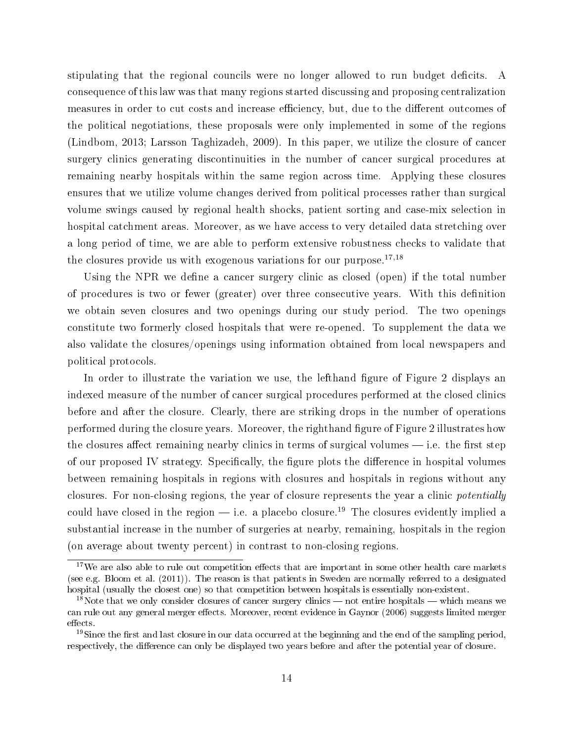stipulating that the regional councils were no longer allowed to run budget deficits. A consequence of this law was that many regions started discussing and proposing centralization measures in order to cut costs and increase efficiency, but, due to the different outcomes of the political negotiations, these proposals were only implemented in some of the regions (Lindbom, 2013; Larsson Taghizadeh, 2009). In this paper, we utilize the closure of cancer surgery clinics generating discontinuities in the number of cancer surgical procedures at remaining nearby hospitals within the same region across time. Applying these closures ensures that we utilize volume changes derived from political processes rather than surgical volume swings caused by regional health shocks, patient sorting and case-mix selection in hospital catchment areas. Moreover, as we have access to very detailed data stretching over a long period of time, we are able to perform extensive robustness checks to validate that the closures provide us with exogenous variations for our purpose.<sup>17,18</sup>

Using the NPR we define a cancer surgery clinic as closed (open) if the total number of procedures is two or fewer (greater) over three consecutive years. With this denition we obtain seven closures and two openings during our study period. The two openings constitute two formerly closed hospitals that were re-opened. To supplement the data we also validate the closures/openings using information obtained from local newspapers and political protocols.

In order to illustrate the variation we use, the lefthand figure of Figure 2 displays an indexed measure of the number of cancer surgical procedures performed at the closed clinics before and after the closure. Clearly, there are striking drops in the number of operations performed during the closure years. Moreover, the righthand figure of Figure 2 illustrates how the closures affect remaining nearby clinics in terms of surgical volumes  $-$  i.e. the first step of our proposed IV strategy. Specifically, the figure plots the difference in hospital volumes between remaining hospitals in regions with closures and hospitals in regions without any closures. For non-closing regions, the year of closure represents the year a clinic potentially could have closed in the region  $-$  i.e. a placebo closure.<sup>19</sup> The closures evidently implied a substantial increase in the number of surgeries at nearby, remaining, hospitals in the region (on average about twenty percent) in contrast to non-closing regions.

 $17\,\text{We}$  are also able to rule out competition effects that are important in some other health care markets (see e.g. Bloom et al. (2011)). The reason is that patients in Sweden are normally referred to a designated hospital (usually the closest one) so that competition between hospitals is essentially non-existent.

<sup>&</sup>lt;sup>18</sup>Note that we only consider closures of cancer surgery clinics  $-$  not entire hospitals  $-$  which means we can rule out any general merger effects. Moreover, recent evidence in Gaynor (2006) suggests limited merger effects.

<sup>&</sup>lt;sup>19</sup>Since the first and last closure in our data occurred at the beginning and the end of the sampling period, respectively, the difference can only be displayed two years before and after the potential year of closure.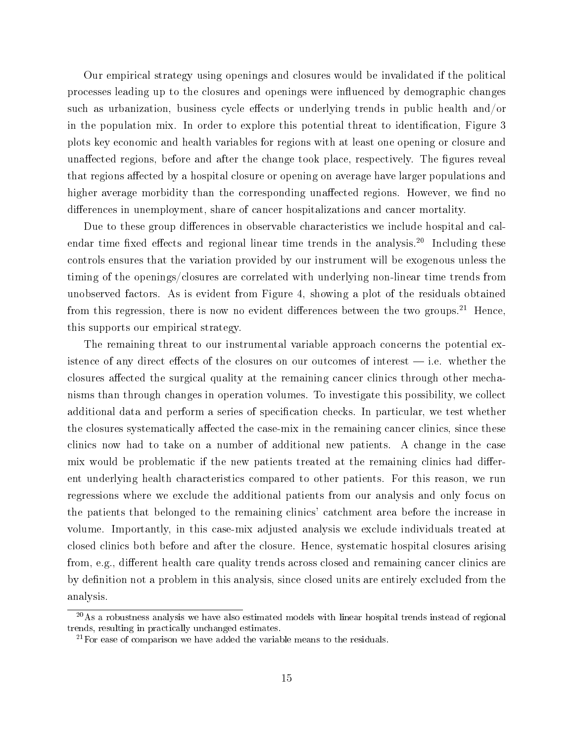Our empirical strategy using openings and closures would be invalidated if the political processes leading up to the closures and openings were influenced by demographic changes such as urbanization, business cycle effects or underlying trends in public health and/or in the population mix. In order to explore this potential threat to identification, Figure 3 plots key economic and health variables for regions with at least one opening or closure and unaffected regions, before and after the change took place, respectively. The figures reveal that regions affected by a hospital closure or opening on average have larger populations and higher average morbidity than the corresponding unaffected regions. However, we find no differences in unemployment, share of cancer hospitalizations and cancer mortality.

Due to these group differences in observable characteristics we include hospital and calendar time fixed effects and regional linear time trends in the analysis.<sup>20</sup> Including these controls ensures that the variation provided by our instrument will be exogenous unless the timing of the openings/closures are correlated with underlying non-linear time trends from unobserved factors. As is evident from Figure 4, showing a plot of the residuals obtained from this regression, there is now no evident differences between the two groups.<sup>21</sup> Hence, this supports our empirical strategy.

The remaining threat to our instrumental variable approach concerns the potential existence of any direct effects of the closures on our outcomes of interest  $-$  i.e. whether the closures affected the surgical quality at the remaining cancer clinics through other mechanisms than through changes in operation volumes. To investigate this possibility, we collect additional data and perform a series of specification checks. In particular, we test whether the closures systematically affected the case-mix in the remaining cancer clinics, since these clinics now had to take on a number of additional new patients. A change in the case mix would be problematic if the new patients treated at the remaining clinics had different underlying health characteristics compared to other patients. For this reason, we run regressions where we exclude the additional patients from our analysis and only focus on the patients that belonged to the remaining clinics' catchment area before the increase in volume. Importantly, in this case-mix adjusted analysis we exclude individuals treated at closed clinics both before and after the closure. Hence, systematic hospital closures arising from, e.g., different health care quality trends across closed and remaining cancer clinics are by definition not a problem in this analysis, since closed units are entirely excluded from the analysis.

<sup>20</sup>As a robustness analysis we have also estimated models with linear hospital trends instead of regional trends, resulting in practically unchanged estimates.

 $21$  For ease of comparison we have added the variable means to the residuals.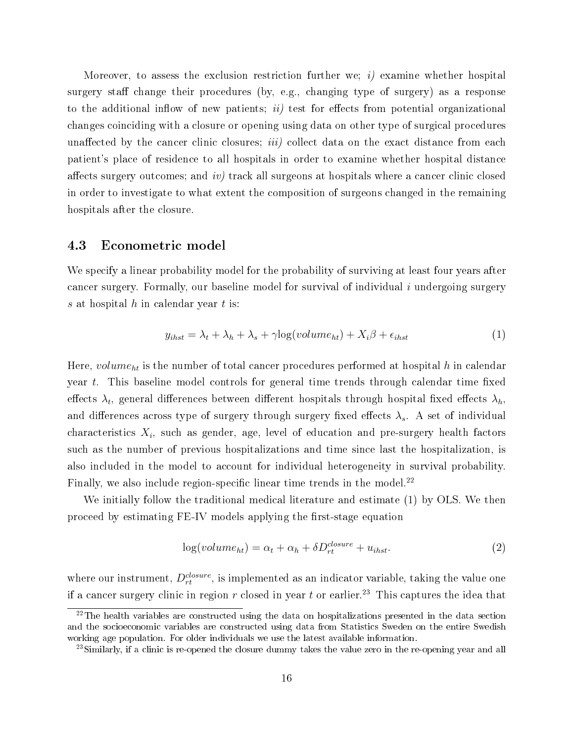Moreover, to assess the exclusion restriction further we;  $i)$  examine whether hospital surgery staff change their procedures (by, e.g., changing type of surgery) as a response to the additional inflow of new patients;  $ii)$  test for effects from potential organizational changes coinciding with a closure or opening using data on other type of surgical procedures unaffected by the cancer clinic closures; *iii*) collect data on the exact distance from each patient's place of residence to all hospitals in order to examine whether hospital distance affects surgery outcomes; and iv) track all surgeons at hospitals where a cancer clinic closed in order to investigate to what extent the composition of surgeons changed in the remaining hospitals after the closure.

#### 4.3 Econometric model

We specify a linear probability model for the probability of surviving at least four years after cancer surgery. Formally, our baseline model for survival of individual  $i$  undergoing surgery s at hospital  $h$  in calendar year  $t$  is:

$$
y_{ihst} = \lambda_t + \lambda_h + \lambda_s + \gamma \log(volume_{ht}) + X_i\beta + \epsilon_{ihst}
$$
\n<sup>(1)</sup>

Here, volume<sub>ht</sub> is the number of total cancer procedures performed at hospital h in calendar year  $t$ . This baseline model controls for general time trends through calendar time fixed effects  $\lambda_t,$  general differences between different hospitals through hospital fixed effects  $\lambda_h,$ and differences across type of surgery through surgery fixed effects  $\lambda_s$ . A set of individual characteristics  $X_i$ , such as gender, age, level of education and pre-surgery health factors such as the number of previous hospitalizations and time since last the hospitalization, is also included in the model to account for individual heterogeneity in survival probability. Finally, we also include region-specific linear time trends in the model. $^{22}$ 

We initially follow the traditional medical literature and estimate (1) by OLS. We then proceed by estimating FE-IV models applying the first-stage equation

$$
log(volume_{ht}) = \alpha_t + \alpha_h + \delta D_{rt}^{closure} + u_{ihst}.
$$
\n(2)

where our instrument,  $D_{rt}^{closure}$ , is implemented as an indicator variable, taking the value one if a cancer surgery clinic in region r closed in year t or earlier.<sup>23</sup> This captures the idea that

 $22$ The health variables are constructed using the data on hospitalizations presented in the data section and the socioeconomic variables are constructed using data from Statistics Sweden on the entire Swedish working age population. For older individuals we use the latest available information.

<sup>&</sup>lt;sup>23</sup>Similarly, if a clinic is re-opened the closure dummy takes the value zero in the re-opening year and all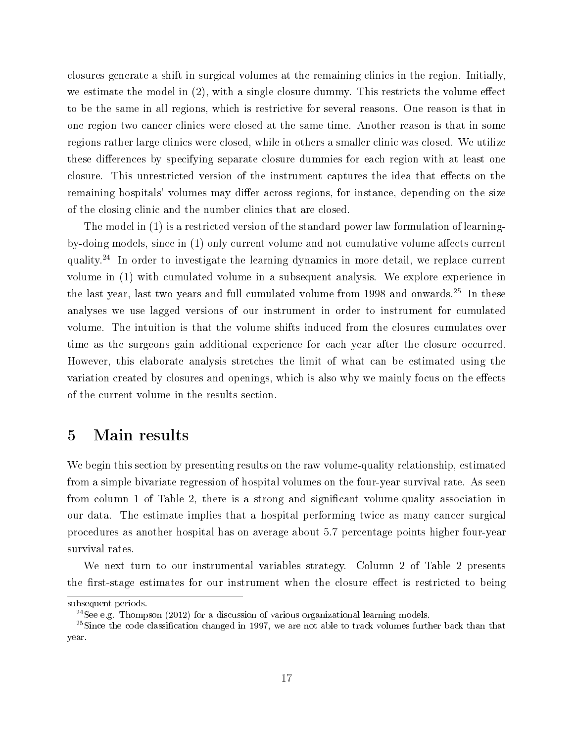closures generate a shift in surgical volumes at the remaining clinics in the region. Initially, we estimate the model in  $(2)$ , with a single closure dummy. This restricts the volume effect to be the same in all regions, which is restrictive for several reasons. One reason is that in one region two cancer clinics were closed at the same time. Another reason is that in some regions rather large clinics were closed, while in others a smaller clinic was closed. We utilize these differences by specifying separate closure dummies for each region with at least one closure. This unrestricted version of the instrument captures the idea that effects on the remaining hospitals' volumes may differ across regions, for instance, depending on the size of the closing clinic and the number clinics that are closed.

The model in (1) is a restricted version of the standard power law formulation of learningby-doing models, since in (1) only current volume and not cumulative volume affects current quality.<sup>24</sup> In order to investigate the learning dynamics in more detail, we replace current volume in (1) with cumulated volume in a subsequent analysis. We explore experience in the last year, last two years and full cumulated volume from 1998 and onwards.<sup>25</sup> In these analyses we use lagged versions of our instrument in order to instrument for cumulated volume. The intuition is that the volume shifts induced from the closures cumulates over time as the surgeons gain additional experience for each year after the closure occurred. However, this elaborate analysis stretches the limit of what can be estimated using the variation created by closures and openings, which is also why we mainly focus on the effects of the current volume in the results section.

### 5 Main results

We begin this section by presenting results on the raw volume-quality relationship, estimated from a simple bivariate regression of hospital volumes on the four-year survival rate. As seen from column 1 of Table 2, there is a strong and signicant volume-quality association in our data. The estimate implies that a hospital performing twice as many cancer surgical procedures as another hospital has on average about 5.7 percentage points higher four-year survival rates.

We next turn to our instrumental variables strategy. Column 2 of Table 2 presents the first-stage estimates for our instrument when the closure effect is restricted to being

subsequent periods.

<sup>&</sup>lt;sup>24</sup>See e.g. Thompson (2012) for a discussion of various organizational learning models.

 $^{25}$ Since the code classification changed in 1997, we are not able to track volumes further back than that year.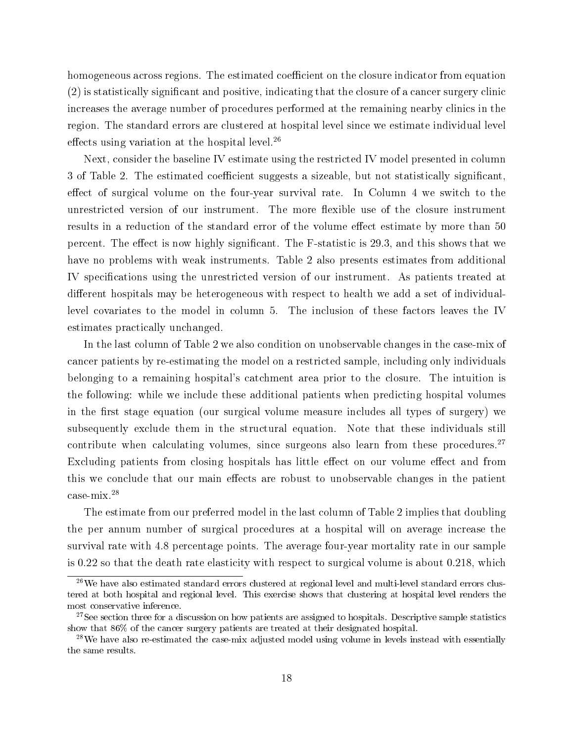homogeneous across regions. The estimated coefficient on the closure indicator from equation (2) is statistically signicant and positive, indicating that the closure of a cancer surgery clinic increases the average number of procedures performed at the remaining nearby clinics in the region. The standard errors are clustered at hospital level since we estimate individual level effects using variation at the hospital level.<sup>26</sup>

Next, consider the baseline IV estimate using the restricted IV model presented in column 3 of Table 2. The estimated coefficient suggests a sizeable, but not statistically significant, effect of surgical volume on the four-year survival rate. In Column  $4$  we switch to the unrestricted version of our instrument. The more flexible use of the closure instrument results in a reduction of the standard error of the volume effect estimate by more than 50 percent. The effect is now highly significant. The F-statistic is 29.3, and this shows that we have no problems with weak instruments. Table 2 also presents estimates from additional IV specifications using the unrestricted version of our instrument. As patients treated at different hospitals may be heterogeneous with respect to health we add a set of individuallevel covariates to the model in column 5. The inclusion of these factors leaves the IV estimates practically unchanged.

In the last column of Table 2 we also condition on unobservable changes in the case-mix of cancer patients by re-estimating the model on a restricted sample, including only individuals belonging to a remaining hospital's catchment area prior to the closure. The intuition is the following: while we include these additional patients when predicting hospital volumes in the first stage equation (our surgical volume measure includes all types of surgery) we subsequently exclude them in the structural equation. Note that these individuals still contribute when calculating volumes, since surgeons also learn from these procedures. $27$ Excluding patients from closing hospitals has little effect on our volume effect and from this we conclude that our main effects are robust to unobservable changes in the patient case-mix.<sup>28</sup>

The estimate from our preferred model in the last column of Table 2 implies that doubling the per annum number of surgical procedures at a hospital will on average increase the survival rate with 4.8 percentage points. The average four-year mortality rate in our sample is 0.22 so that the death rate elasticity with respect to surgical volume is about 0.218, which

<sup>&</sup>lt;sup>26</sup>We have also estimated standard errors clustered at regional level and multi-level standard errors clustered at both hospital and regional level. This exercise shows that clustering at hospital level renders the most conservative inference.

<sup>&</sup>lt;sup>27</sup>See section three for a discussion on how patients are assigned to hospitals. Descriptive sample statistics show that 86% of the cancer surgery patients are treated at their designated hospital.

<sup>&</sup>lt;sup>28</sup>We have also re-estimated the case-mix adjusted model using volume in levels instead with essentially the same results.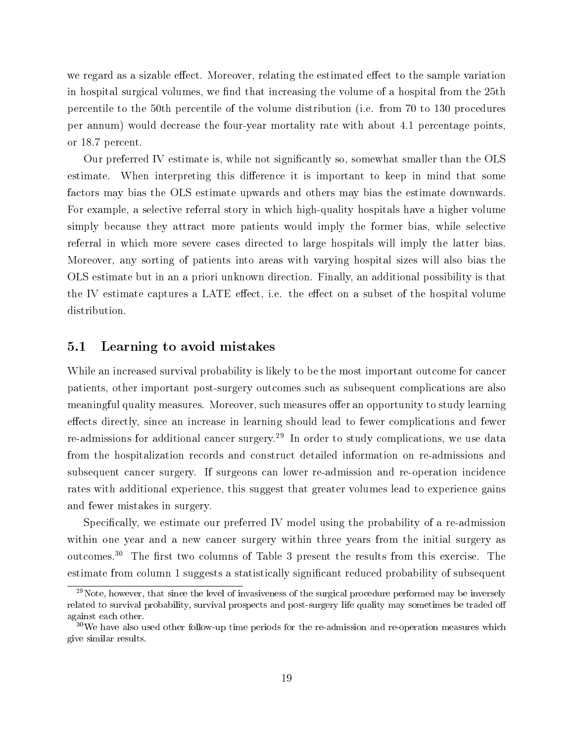we regard as a sizable effect. Moreover, relating the estimated effect to the sample variation in hospital surgical volumes, we find that increasing the volume of a hospital from the 25th percentile to the 50th percentile of the volume distribution (i.e. from 70 to 130 procedures per annum) would decrease the four-year mortality rate with about 4.1 percentage points, or 18.7 percent.

Our preferred IV estimate is, while not signicantly so, somewhat smaller than the OLS estimate. When interpreting this difference it is important to keep in mind that some factors may bias the OLS estimate upwards and others may bias the estimate downwards. For example, a selective referral story in which high-quality hospitals have a higher volume simply because they attract more patients would imply the former bias, while selective referral in which more severe cases directed to large hospitals will imply the latter bias. Moreover, any sorting of patients into areas with varying hospital sizes will also bias the OLS estimate but in an a priori unknown direction. Finally, an additional possibility is that the IV estimate captures a LATE effect, i.e. the effect on a subset of the hospital volume distribution.

### 5.1 Learning to avoid mistakes

While an increased survival probability is likely to be the most important outcome for cancer patients, other important post-surgery outcomes such as subsequent complications are also meaningful quality measures. Moreover, such measures offer an opportunity to study learning effects directly, since an increase in learning should lead to fewer complications and fewer re-admissions for additional cancer surgery.<sup>29</sup> In order to study complications, we use data from the hospitalization records and construct detailed information on re-admissions and subsequent cancer surgery. If surgeons can lower re-admission and re-operation incidence rates with additional experience, this suggest that greater volumes lead to experience gains and fewer mistakes in surgery.

Specifically, we estimate our preferred IV model using the probability of a re-admission within one year and a new cancer surgery within three years from the initial surgery as outcomes.<sup>30</sup> The first two columns of Table 3 present the results from this exercise. The estimate from column 1 suggests a statistically significant reduced probability of subsequent

<sup>&</sup>lt;sup>29</sup>Note, however, that since the level of invasiveness of the surgical procedure performed may be inversely related to survival probability, survival prospects and post-surgery life quality may sometimes be traded o against each other.

 $30\,\text{We}$  have also used other follow-up time periods for the re-admission and re-operation measures which give similar results.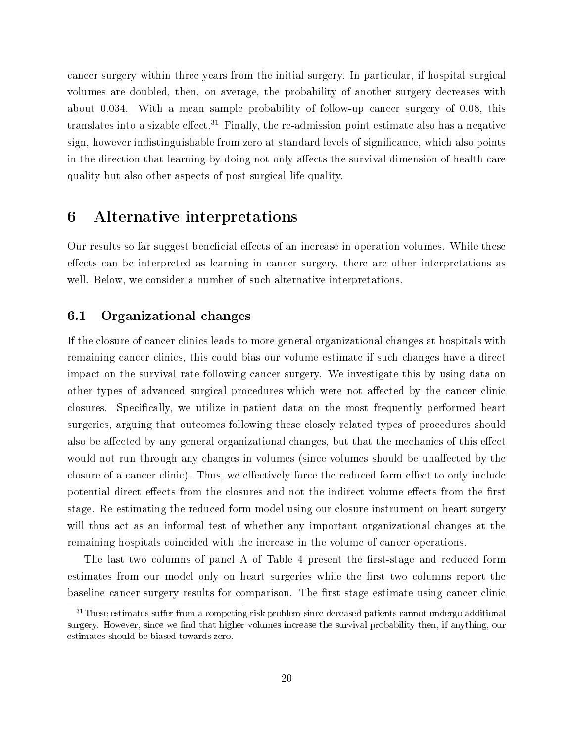cancer surgery within three years from the initial surgery. In particular, if hospital surgical volumes are doubled, then, on average, the probability of another surgery decreases with about 0.034. With a mean sample probability of follow-up cancer surgery of 0.08, this translates into a sizable effect.<sup>31</sup> Finally, the re-admission point estimate also has a negative sign, however indistinguishable from zero at standard levels of significance, which also points in the direction that learning-by-doing not only affects the survival dimension of health care quality but also other aspects of post-surgical life quality.

### 6 Alternative interpretations

Our results so far suggest beneficial effects of an increase in operation volumes. While these effects can be interpreted as learning in cancer surgery, there are other interpretations as well. Below, we consider a number of such alternative interpretations.

#### 6.1 Organizational changes

If the closure of cancer clinics leads to more general organizational changes at hospitals with remaining cancer clinics, this could bias our volume estimate if such changes have a direct impact on the survival rate following cancer surgery. We investigate this by using data on other types of advanced surgical procedures which were not affected by the cancer clinic closures. Specifically, we utilize in-patient data on the most frequently performed heart surgeries, arguing that outcomes following these closely related types of procedures should also be affected by any general organizational changes, but that the mechanics of this effect would not run through any changes in volumes (since volumes should be unaffected by the closure of a cancer clinic). Thus, we effectively force the reduced form effect to only include potential direct effects from the closures and not the indirect volume effects from the first stage. Re-estimating the reduced form model using our closure instrument on heart surgery will thus act as an informal test of whether any important organizational changes at the remaining hospitals coincided with the increase in the volume of cancer operations.

The last two columns of panel A of Table 4 present the first-stage and reduced form estimates from our model only on heart surgeries while the first two columns report the baseline cancer surgery results for comparison. The first-stage estimate using cancer clinic

 $31$ These estimates suffer from a competing risk problem since deceased patients cannot undergo additional surgery. However, since we find that higher volumes increase the survival probability then, if anything, our estimates should be biased towards zero.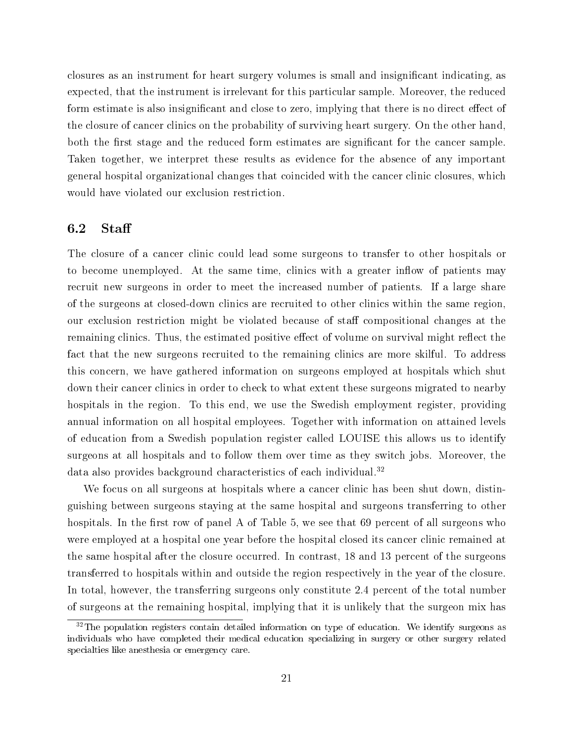closures as an instrument for heart surgery volumes is small and insignicant indicating, as expected, that the instrument is irrelevant for this particular sample. Moreover, the reduced form estimate is also insignificant and close to zero, implying that there is no direct effect of the closure of cancer clinics on the probability of surviving heart surgery. On the other hand, both the first stage and the reduced form estimates are significant for the cancer sample. Taken together, we interpret these results as evidence for the absence of any important general hospital organizational changes that coincided with the cancer clinic closures, which would have violated our exclusion restriction.

#### 6.2 Sta

The closure of a cancer clinic could lead some surgeons to transfer to other hospitals or to become unemployed. At the same time, clinics with a greater inflow of patients may recruit new surgeons in order to meet the increased number of patients. If a large share of the surgeons at closed-down clinics are recruited to other clinics within the same region, our exclusion restriction might be violated because of staff compositional changes at the remaining clinics. Thus, the estimated positive effect of volume on survival might reflect the fact that the new surgeons recruited to the remaining clinics are more skilful. To address this concern, we have gathered information on surgeons employed at hospitals which shut down their cancer clinics in order to check to what extent these surgeons migrated to nearby hospitals in the region. To this end, we use the Swedish employment register, providing annual information on all hospital employees. Together with information on attained levels of education from a Swedish population register called LOUISE this allows us to identify surgeons at all hospitals and to follow them over time as they switch jobs. Moreover, the data also provides background characteristics of each individual.<sup>32</sup>

We focus on all surgeons at hospitals where a cancer clinic has been shut down, distinguishing between surgeons staying at the same hospital and surgeons transferring to other hospitals. In the first row of panel A of Table 5, we see that 69 percent of all surgeons who were employed at a hospital one year before the hospital closed its cancer clinic remained at the same hospital after the closure occurred. In contrast, 18 and 13 percent of the surgeons transferred to hospitals within and outside the region respectively in the year of the closure. In total, however, the transferring surgeons only constitute 2.4 percent of the total number of surgeons at the remaining hospital, implying that it is unlikely that the surgeon mix has

 $32$ The population registers contain detailed information on type of education. We identify surgeons as individuals who have completed their medical education specializing in surgery or other surgery related specialties like anesthesia or emergency care.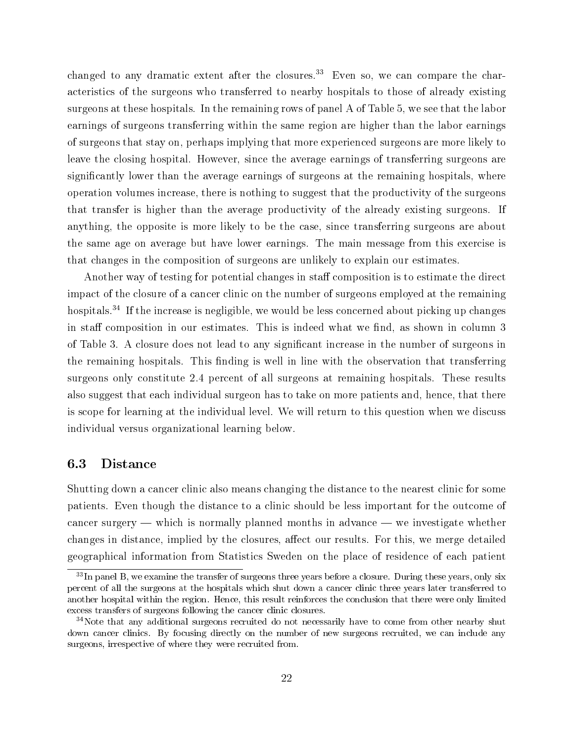changed to any dramatic extent after the closures.<sup>33</sup> Even so, we can compare the characteristics of the surgeons who transferred to nearby hospitals to those of already existing surgeons at these hospitals. In the remaining rows of panel A of Table 5, we see that the labor earnings of surgeons transferring within the same region are higher than the labor earnings of surgeons that stay on, perhaps implying that more experienced surgeons are more likely to leave the closing hospital. However, since the average earnings of transferring surgeons are significantly lower than the average earnings of surgeons at the remaining hospitals, where operation volumes increase, there is nothing to suggest that the productivity of the surgeons that transfer is higher than the average productivity of the already existing surgeons. If anything, the opposite is more likely to be the case, since transferring surgeons are about the same age on average but have lower earnings. The main message from this exercise is that changes in the composition of surgeons are unlikely to explain our estimates.

Another way of testing for potential changes in staff composition is to estimate the direct impact of the closure of a cancer clinic on the number of surgeons employed at the remaining hospitals.<sup>34</sup> If the increase is negligible, we would be less concerned about picking up changes in staff composition in our estimates. This is indeed what we find, as shown in column 3 of Table 3. A closure does not lead to any signicant increase in the number of surgeons in the remaining hospitals. This finding is well in line with the observation that transferring surgeons only constitute 2.4 percent of all surgeons at remaining hospitals. These results also suggest that each individual surgeon has to take on more patients and, hence, that there is scope for learning at the individual level. We will return to this question when we discuss individual versus organizational learning below.

#### 6.3 Distance

Shutting down a cancer clinic also means changing the distance to the nearest clinic for some patients. Even though the distance to a clinic should be less important for the outcome of cancer surgery  $-$  which is normally planned months in advance  $-$  we investigate whether changes in distance, implied by the closures, affect our results. For this, we merge detailed geographical information from Statistics Sweden on the place of residence of each patient

 $33$ In panel B, we examine the transfer of surgeons three years before a closure. During these years, only six percent of all the surgeons at the hospitals which shut down a cancer clinic three years later transferred to another hospital within the region. Hence, this result reinforces the conclusion that there were only limited excess transfers of surgeons following the cancer clinic closures.

<sup>&</sup>lt;sup>34</sup>Note that any additional surgeons recruited do not necessarily have to come from other nearby shut down cancer clinics. By focusing directly on the number of new surgeons recruited, we can include any surgeons, irrespective of where they were recruited from.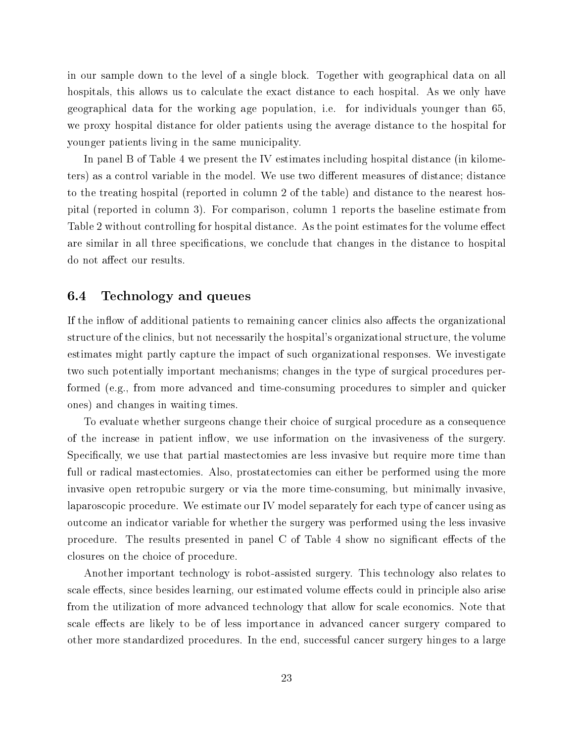in our sample down to the level of a single block. Together with geographical data on all hospitals, this allows us to calculate the exact distance to each hospital. As we only have geographical data for the working age population, i.e. for individuals younger than 65, we proxy hospital distance for older patients using the average distance to the hospital for younger patients living in the same municipality.

In panel B of Table 4 we present the IV estimates including hospital distance (in kilometers) as a control variable in the model. We use two different measures of distance; distance to the treating hospital (reported in column 2 of the table) and distance to the nearest hospital (reported in column 3). For comparison, column 1 reports the baseline estimate from Table 2 without controlling for hospital distance. As the point estimates for the volume effect are similar in all three specifications, we conclude that changes in the distance to hospital do not affect our results.

#### 6.4 Technology and queues

If the inflow of additional patients to remaining cancer clinics also affects the organizational structure of the clinics, but not necessarily the hospital's organizational structure, the volume estimates might partly capture the impact of such organizational responses. We investigate two such potentially important mechanisms; changes in the type of surgical procedures performed (e.g., from more advanced and time-consuming procedures to simpler and quicker ones) and changes in waiting times.

To evaluate whether surgeons change their choice of surgical procedure as a consequence of the increase in patient inflow, we use information on the invasiveness of the surgery. Specifically, we use that partial mastectomies are less invasive but require more time than full or radical mastectomies. Also, prostatectomies can either be performed using the more invasive open retropubic surgery or via the more time-consuming, but minimally invasive, laparoscopic procedure. We estimate our IV model separately for each type of cancer using as outcome an indicator variable for whether the surgery was performed using the less invasive procedure. The results presented in panel C of Table 4 show no significant effects of the closures on the choice of procedure.

Another important technology is robot-assisted surgery. This technology also relates to scale effects, since besides learning, our estimated volume effects could in principle also arise from the utilization of more advanced technology that allow for scale economics. Note that scale effects are likely to be of less importance in advanced cancer surgery compared to other more standardized procedures. In the end, successful cancer surgery hinges to a large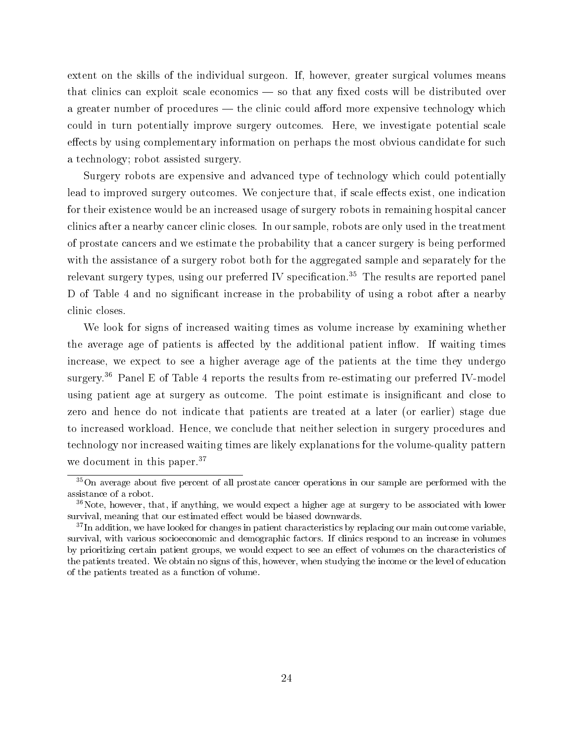extent on the skills of the individual surgeon. If, however, greater surgical volumes means that clinics can exploit scale economics  $\sim$  so that any fixed costs will be distributed over a greater number of procedures  $-$  the clinic could afford more expensive technology which could in turn potentially improve surgery outcomes. Here, we investigate potential scale effects by using complementary information on perhaps the most obvious candidate for such a technology; robot assisted surgery.

Surgery robots are expensive and advanced type of technology which could potentially lead to improved surgery outcomes. We conjecture that, if scale effects exist, one indication for their existence would be an increased usage of surgery robots in remaining hospital cancer clinics after a nearby cancer clinic closes. In our sample, robots are only used in the treatment of prostate cancers and we estimate the probability that a cancer surgery is being performed with the assistance of a surgery robot both for the aggregated sample and separately for the relevant surgery types, using our preferred IV specification.<sup>35</sup> The results are reported panel D of Table 4 and no significant increase in the probability of using a robot after a nearby clinic closes.

We look for signs of increased waiting times as volume increase by examining whether the average age of patients is affected by the additional patient inflow. If waiting times increase, we expect to see a higher average age of the patients at the time they undergo surgery.<sup>36</sup> Panel E of Table 4 reports the results from re-estimating our preferred IV-model using patient age at surgery as outcome. The point estimate is insignicant and close to zero and hence do not indicate that patients are treated at a later (or earlier) stage due to increased workload. Hence, we conclude that neither selection in surgery procedures and technology nor increased waiting times are likely explanations for the volume-quality pattern we document in this paper.<sup>37</sup>

 $35$ On average about five percent of all prostate cancer operations in our sample are performed with the assistance of a robot.

<sup>&</sup>lt;sup>36</sup>Note, however, that, if anything, we would expect a higher age at surgery to be associated with lower survival, meaning that our estimated effect would be biased downwards.

<sup>&</sup>lt;sup>37</sup>In addition, we have looked for changes in patient characteristics by replacing our main outcome variable, survival, with various socioeconomic and demographic factors. If clinics respond to an increase in volumes by prioritizing certain patient groups, we would expect to see an effect of volumes on the characteristics of the patients treated. We obtain no signs of this, however, when studying the income or the level of education of the patients treated as a function of volume.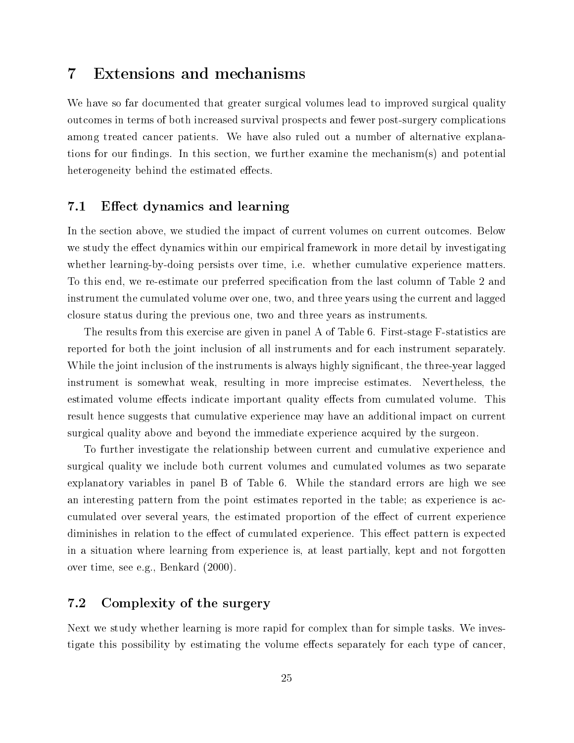### 7 Extensions and mechanisms

We have so far documented that greater surgical volumes lead to improved surgical quality outcomes in terms of both increased survival prospects and fewer post-surgery complications among treated cancer patients. We have also ruled out a number of alternative explanations for our findings. In this section, we further examine the mechanism $(s)$  and potential heterogeneity behind the estimated effects.

### 7.1 Effect dynamics and learning

In the section above, we studied the impact of current volumes on current outcomes. Below we study the effect dynamics within our empirical framework in more detail by investigating whether learning-by-doing persists over time, i.e. whether cumulative experience matters. To this end, we re-estimate our preferred specification from the last column of Table 2 and instrument the cumulated volume over one, two, and three years using the current and lagged closure status during the previous one, two and three years as instruments.

The results from this exercise are given in panel A of Table 6. First-stage F-statistics are reported for both the joint inclusion of all instruments and for each instrument separately. While the joint inclusion of the instruments is always highly significant, the three-year lagged instrument is somewhat weak, resulting in more imprecise estimates. Nevertheless, the estimated volume effects indicate important quality effects from cumulated volume. This result hence suggests that cumulative experience may have an additional impact on current surgical quality above and beyond the immediate experience acquired by the surgeon.

To further investigate the relationship between current and cumulative experience and surgical quality we include both current volumes and cumulated volumes as two separate explanatory variables in panel B of Table 6. While the standard errors are high we see an interesting pattern from the point estimates reported in the table; as experience is accumulated over several years, the estimated proportion of the effect of current experience diminishes in relation to the effect of cumulated experience. This effect pattern is expected in a situation where learning from experience is, at least partially, kept and not forgotten over time, see e.g., Benkard (2000).

### 7.2 Complexity of the surgery

Next we study whether learning is more rapid for complex than for simple tasks. We investigate this possibility by estimating the volume effects separately for each type of cancer,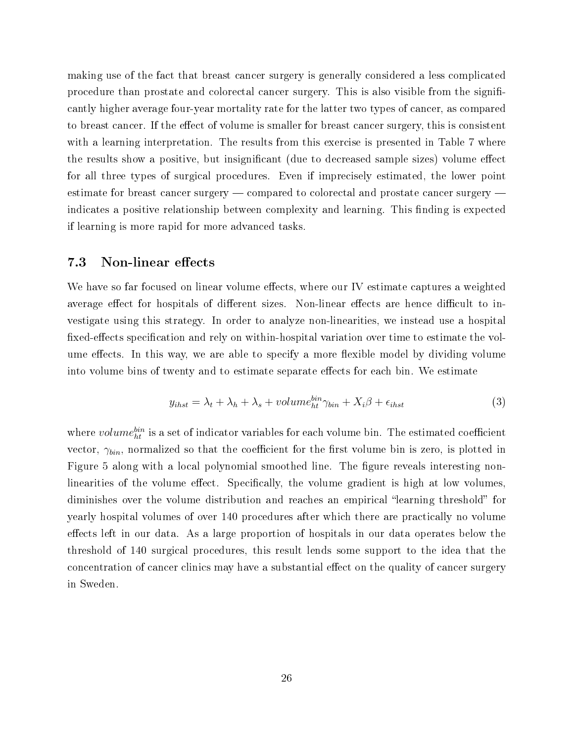making use of the fact that breast cancer surgery is generally considered a less complicated procedure than prostate and colorectal cancer surgery. This is also visible from the significantly higher average four-year mortality rate for the latter two types of cancer, as compared to breast cancer. If the effect of volume is smaller for breast cancer surgery, this is consistent with a learning interpretation. The results from this exercise is presented in Table 7 where the results show a positive, but insignificant (due to decreased sample sizes) volume effect for all three types of surgical procedures. Even if imprecisely estimated, the lower point estimate for breast cancer surgery  $\sim$  compared to colorectal and prostate cancer surgery  $\sim$ indicates a positive relationship between complexity and learning. This finding is expected if learning is more rapid for more advanced tasks.

#### 7.3 Non-linear effects

We have so far focused on linear volume effects, where our IV estimate captures a weighted average effect for hospitals of different sizes. Non-linear effects are hence difficult to investigate using this strategy. In order to analyze non-linearities, we instead use a hospital fixed-effects specification and rely on within-hospital variation over time to estimate the volume effects. In this way, we are able to specify a more flexible model by dividing volume into volume bins of twenty and to estimate separate effects for each bin. We estimate

$$
y_{ihst} = \lambda_t + \lambda_h + \lambda_s + volume_{ht}^{bin} \gamma_{bin} + X_i \beta + \epsilon_{ihst}
$$
\n
$$
\tag{3}
$$

where  $volume_{ht}^{bin}$  is a set of indicator variables for each volume bin. The estimated coefficient vector,  $\gamma_{bin}$ , normalized so that the coefficient for the first volume bin is zero, is plotted in Figure 5 along with a local polynomial smoothed line. The figure reveals interesting nonlinearities of the volume effect. Specifically, the volume gradient is high at low volumes, diminishes over the volume distribution and reaches an empirical "learning threshold" for yearly hospital volumes of over 140 procedures after which there are practically no volume effects left in our data. As a large proportion of hospitals in our data operates below the threshold of 140 surgical procedures, this result lends some support to the idea that the concentration of cancer clinics may have a substantial effect on the quality of cancer surgery in Sweden.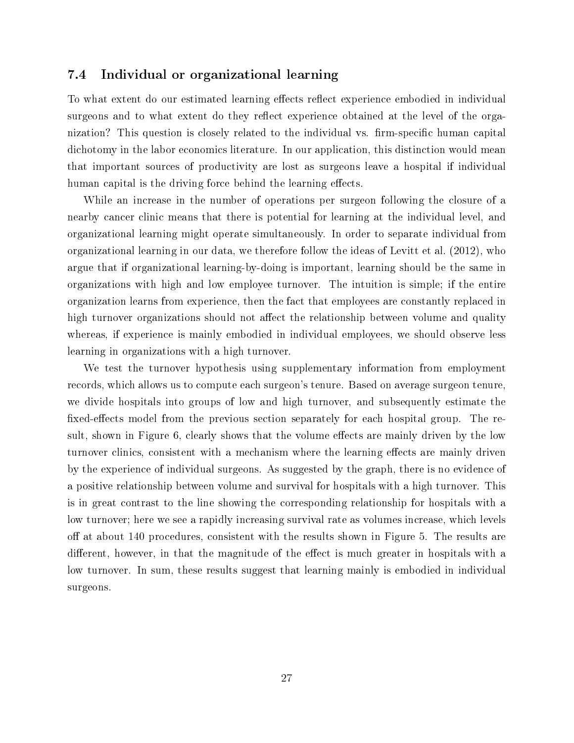#### 7.4 Individual or organizational learning

To what extent do our estimated learning effects reflect experience embodied in individual surgeons and to what extent do they reflect experience obtained at the level of the organization? This question is closely related to the individual vs. firm-specific human capital dichotomy in the labor economics literature. In our application, this distinction would mean that important sources of productivity are lost as surgeons leave a hospital if individual human capital is the driving force behind the learning effects.

While an increase in the number of operations per surgeon following the closure of a nearby cancer clinic means that there is potential for learning at the individual level, and organizational learning might operate simultaneously. In order to separate individual from organizational learning in our data, we therefore follow the ideas of Levitt et al. (2012), who argue that if organizational learning-by-doing is important, learning should be the same in organizations with high and low employee turnover. The intuition is simple; if the entire organization learns from experience, then the fact that employees are constantly replaced in high turnover organizations should not affect the relationship between volume and quality whereas, if experience is mainly embodied in individual employees, we should observe less learning in organizations with a high turnover.

We test the turnover hypothesis using supplementary information from employment records, which allows us to compute each surgeon's tenure. Based on average surgeon tenure, we divide hospitals into groups of low and high turnover, and subsequently estimate the fixed-effects model from the previous section separately for each hospital group. The result, shown in Figure 6, clearly shows that the volume effects are mainly driven by the low turnover clinics, consistent with a mechanism where the learning effects are mainly driven by the experience of individual surgeons. As suggested by the graph, there is no evidence of a positive relationship between volume and survival for hospitals with a high turnover. This is in great contrast to the line showing the corresponding relationship for hospitals with a low turnover; here we see a rapidly increasing survival rate as volumes increase, which levels off at about 140 procedures, consistent with the results shown in Figure 5. The results are different, however, in that the magnitude of the effect is much greater in hospitals with a low turnover. In sum, these results suggest that learning mainly is embodied in individual surgeons.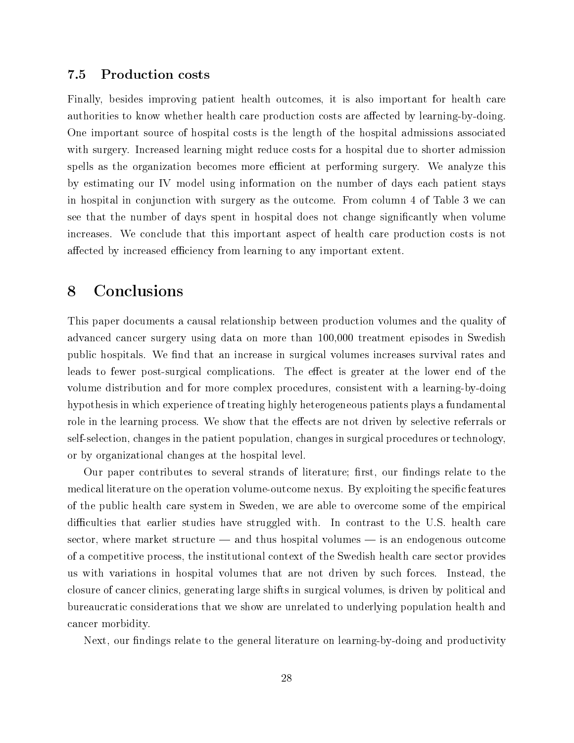#### 7.5 Production costs

Finally, besides improving patient health outcomes, it is also important for health care authorities to know whether health care production costs are affected by learning-by-doing. One important source of hospital costs is the length of the hospital admissions associated with surgery. Increased learning might reduce costs for a hospital due to shorter admission spells as the organization becomes more efficient at performing surgery. We analyze this by estimating our IV model using information on the number of days each patient stays in hospital in conjunction with surgery as the outcome. From column 4 of Table 3 we can see that the number of days spent in hospital does not change signicantly when volume increases. We conclude that this important aspect of health care production costs is not affected by increased efficiency from learning to any important extent.

### 8 Conclusions

This paper documents a causal relationship between production volumes and the quality of advanced cancer surgery using data on more than 100,000 treatment episodes in Swedish public hospitals. We find that an increase in surgical volumes increases survival rates and leads to fewer post-surgical complications. The effect is greater at the lower end of the volume distribution and for more complex procedures, consistent with a learning-by-doing hypothesis in which experience of treating highly heterogeneous patients plays a fundamental role in the learning process. We show that the effects are not driven by selective referrals or self-selection, changes in the patient population, changes in surgical procedures or technology, or by organizational changes at the hospital level.

Our paper contributes to several strands of literature; first, our findings relate to the medical literature on the operation volume-outcome nexus. By exploiting the specific features of the public health care system in Sweden, we are able to overcome some of the empirical difficulties that earlier studies have struggled with. In contrast to the U.S. health care sector, where market structure  $-$  and thus hospital volumes  $-$  is an endogenous outcome of a competitive process, the institutional context of the Swedish health care sector provides us with variations in hospital volumes that are not driven by such forces. Instead, the closure of cancer clinics, generating large shifts in surgical volumes, is driven by political and bureaucratic considerations that we show are unrelated to underlying population health and cancer morbidity.

Next, our findings relate to the general literature on learning-by-doing and productivity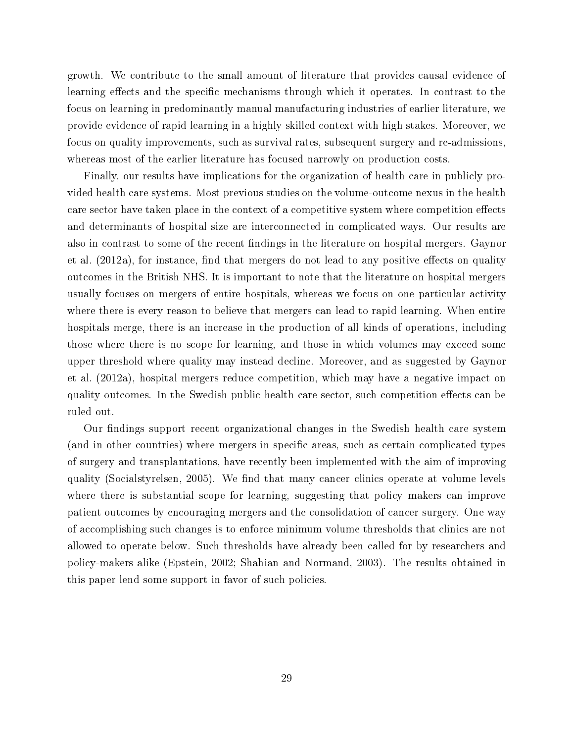growth. We contribute to the small amount of literature that provides causal evidence of learning effects and the specific mechanisms through which it operates. In contrast to the focus on learning in predominantly manual manufacturing industries of earlier literature, we provide evidence of rapid learning in a highly skilled context with high stakes. Moreover, we focus on quality improvements, such as survival rates, subsequent surgery and re-admissions, whereas most of the earlier literature has focused narrowly on production costs.

Finally, our results have implications for the organization of health care in publicly provided health care systems. Most previous studies on the volume-outcome nexus in the health care sector have taken place in the context of a competitive system where competition effects and determinants of hospital size are interconnected in complicated ways. Our results are also in contrast to some of the recent findings in the literature on hospital mergers. Gaynor et al.  $(2012a)$ , for instance, find that mergers do not lead to any positive effects on quality outcomes in the British NHS. It is important to note that the literature on hospital mergers usually focuses on mergers of entire hospitals, whereas we focus on one particular activity where there is every reason to believe that mergers can lead to rapid learning. When entire hospitals merge, there is an increase in the production of all kinds of operations, including those where there is no scope for learning, and those in which volumes may exceed some upper threshold where quality may instead decline. Moreover, and as suggested by Gaynor et al. (2012a), hospital mergers reduce competition, which may have a negative impact on quality outcomes. In the Swedish public health care sector, such competition effects can be ruled out.

Our findings support recent organizational changes in the Swedish health care system (and in other countries) where mergers in specific areas, such as certain complicated types of surgery and transplantations, have recently been implemented with the aim of improving quality (Socialstyrelsen, 2005). We find that many cancer clinics operate at volume levels where there is substantial scope for learning, suggesting that policy makers can improve patient outcomes by encouraging mergers and the consolidation of cancer surgery. One way of accomplishing such changes is to enforce minimum volume thresholds that clinics are not allowed to operate below. Such thresholds have already been called for by researchers and policy-makers alike (Epstein, 2002; Shahian and Normand, 2003). The results obtained in this paper lend some support in favor of such policies.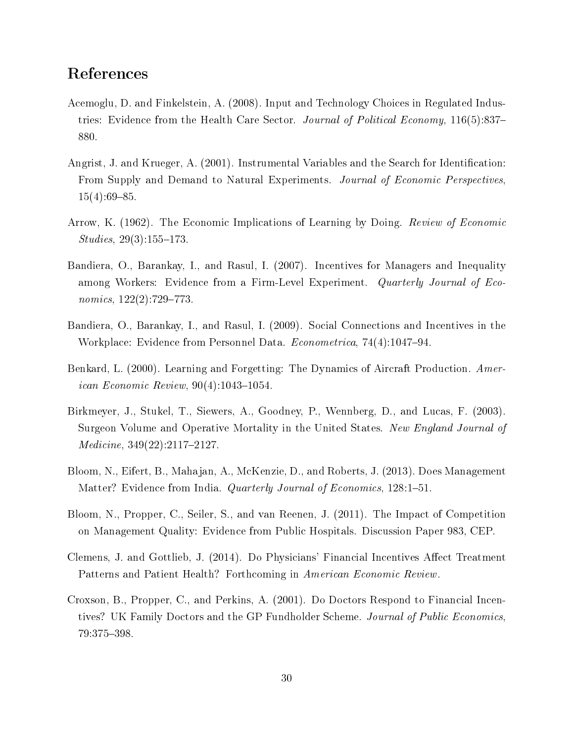### References

- Acemoglu, D. and Finkelstein, A. (2008). Input and Technology Choices in Regulated Industries: Evidence from the Health Care Sector. *Journal of Political Economy*, 116(5):837– 880.
- Angrist, J. and Krueger, A. (2001). Instrumental Variables and the Search for Identification: From Supply and Demand to Natural Experiments. Journal of Economic Perspectives,  $15(4):69-85.$
- Arrow, K. (1962). The Economic Implications of Learning by Doing. Review of Economic  $Studies, 29(3):155-173.$
- Bandiera, O., Barankay, I., and Rasul, I. (2007). Incentives for Managers and Inequality among Workers: Evidence from a Firm-Level Experiment. *Quarterly Journal of Eco*nomics,  $122(2)$ :729-773.
- Bandiera, O., Barankay, I., and Rasul, I. (2009). Social Connections and Incentives in the Workplace: Evidence from Personnel Data. *Econometrica*, 74(4):1047–94.
- Benkard, L. (2000). Learning and Forgetting: The Dynamics of Aircraft Production. Amer*ican Economic Review*,  $90(4):1043-1054$ .
- Birkmeyer, J., Stukel, T., Siewers, A., Goodney, P., Wennberg, D., and Lucas, F. (2003). Surgeon Volume and Operative Mortality in the United States. New England Journal of  $Medicine, 349(22):2117-2127.$
- Bloom, N., Eifert, B., Mahajan, A., McKenzie, D., and Roberts, J. (2013). Does Management Matter? Evidence from India. *Quarterly Journal of Economics*, 128:1–51.
- Bloom, N., Propper, C., Seiler, S., and van Reenen, J. (2011). The Impact of Competition on Management Quality: Evidence from Public Hospitals. Discussion Paper 983, CEP.
- Clemens, J. and Gottlieb, J. (2014). Do Physicians' Financial Incentives Affect Treatment Patterns and Patient Health? Forthcoming in American Economic Review.
- Croxson, B., Propper, C., and Perkins, A. (2001). Do Doctors Respond to Financial Incentives? UK Family Doctors and the GP Fundholder Scheme. Journal of Public Economics, 79:375398.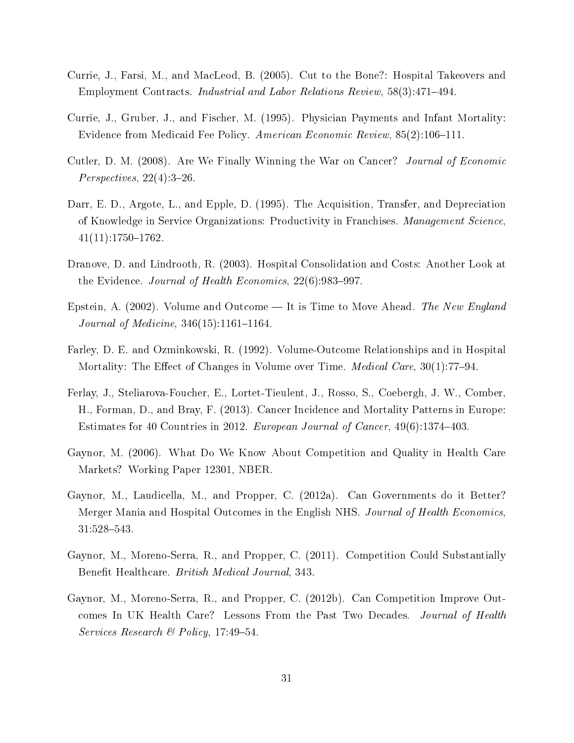- Currie, J., Farsi, M., and MacLeod, B. (2005). Cut to the Bone?: Hospital Takeovers and Employment Contracts. Industrial and Labor Relations Review, 58(3):471-494.
- Currie, J., Gruber, J., and Fischer, M. (1995). Physician Payments and Infant Mortality: Evidence from Medicaid Fee Policy. American Economic Review,  $85(2)$ :106-111.
- Cutler, D. M. (2008). Are We Finally Winning the War on Cancer? Journal of Economic Perspectives,  $22(4):3-26$ .
- Darr, E. D., Argote, L., and Epple, D. (1995). The Acquisition, Transfer, and Depreciation of Knowledge in Service Organizations: Productivity in Franchises. Management Science,  $41(11):1750-1762$
- Dranove, D. and Lindrooth, R. (2003). Hospital Consolidation and Costs: Another Look at the Evidence. *Journal of Health Economics*,  $22(6)$ :983-997.
- Epstein, A. (2002). Volume and Outcome It is Time to Move Ahead. The New England *Journal of Medicine*,  $346(15):1161-1164$ .
- Farley, D. E. and Ozminkowski, R. (1992). Volume-Outcome Relationships and in Hospital Mortality: The Effect of Changes in Volume over Time. *Medical Care*, 30(1):77–94.
- Ferlay, J., Steliarova-Foucher, E., Lortet-Tieulent, J., Rosso, S., Coebergh, J. W., Comber, H., Forman, D., and Bray, F. (2013). Cancer Incidence and Mortality Patterns in Europe: Estimates for 40 Countries in 2012. European Journal of Cancer,  $49(6):1374-403$ .
- Gaynor, M. (2006). What Do We Know About Competition and Quality in Health Care Markets? Working Paper 12301, NBER.
- Gaynor, M., Laudicella, M., and Propper, C. (2012a). Can Governments do it Better? Merger Mania and Hospital Outcomes in the English NHS. Journal of Health Economics, 31:528-543.
- Gaynor, M., Moreno-Serra, R., and Propper, C. (2011). Competition Could Substantially Benefit Healthcare. British Medical Journal, 343.
- Gaynor, M., Moreno-Serra, R., and Propper, C. (2012b). Can Competition Improve Outcomes In UK Health Care? Lessons From the Past Two Decades. Journal of Health Services Research & Policy, 17:49-54.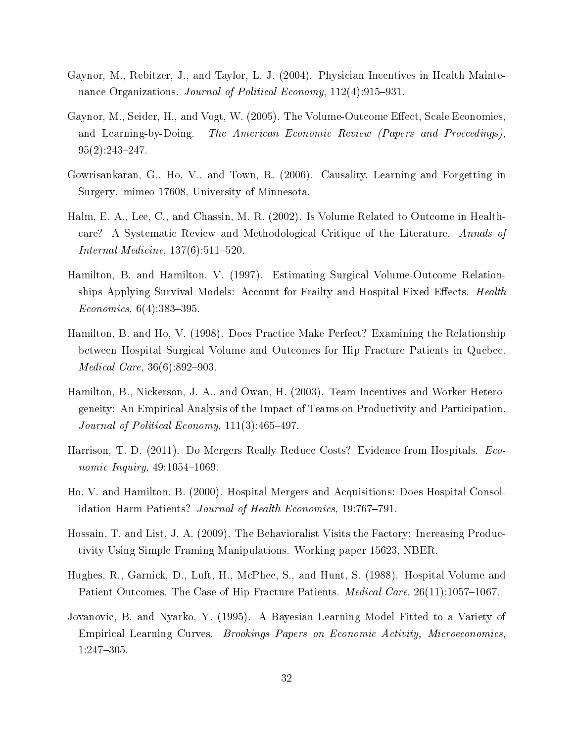- Gaynor, M., Rebitzer, J., and Taylor, L. J. (2004). Physician Incentives in Health Maintenance Organizations. Journal of Political Economy, 112(4):915-931.
- Gaynor, M., Seider, H., and Vogt, W. (2005). The Volume-Outcome Effect, Scale Economies. and Learning-by-Doing. The American Economic Review (Papers and Proceedings),  $95(2):243-247.$
- Gowrisankaran, G., Ho, V., and Town, R. (2006). Causality, Learning and Forgetting in Surgery. mimeo 17608, University of Minnesota.
- Halm, E. A., Lee, C., and Chassin, M. R. (2002). Is Volume Related to Outcome in Healthcare? A Systematic Review and Methodological Critique of the Literature. Annals of *Internal Medicine*,  $137(6):511-520$ .
- Hamilton, B. and Hamilton, V. (1997). Estimating Surgical Volume-Outcome Relationships Applying Survival Models: Account for Frailty and Hospital Fixed Effects. *Health*  $Economics, 6(4):383-395.$
- Hamilton, B. and Ho, V. (1998). Does Practice Make Perfect? Examining the Relationship between Hospital Surgical Volume and Outcomes for Hip Fracture Patients in Quebec. *Medical Care*,  $36(6):892-903$ .
- Hamilton, B., Nickerson, J. A., and Owan, H. (2003). Team Incentives and Worker Heterogeneity: An Empirical Analysis of the Impact of Teams on Productivity and Participation. Journal of Political Economy,  $111(3)$ :465-497.
- Harrison, T. D. (2011). Do Mergers Really Reduce Costs? Evidence from Hospitals. *Eco*nomic Inquiry,  $49:1054-1069$ .
- Ho, V. and Hamilton, B. (2000). Hospital Mergers and Acquisitions: Does Hospital Consolidation Harm Patients? Journal of Health Economics, 19:767-791.
- Hossain, T. and List, J. A. (2009). The Behavioralist Visits the Factory: Increasing Productivity Using Simple Framing Manipulations. Working paper 15623, NBER.
- Hughes, R., Garnick, D., Luft, H., McPhee, S., and Hunt, S. (1988). Hospital Volume and Patient Outcomes. The Case of Hip Fracture Patients. *Medical Care*, 26(11):1057–1067.
- Jovanovic, B. and Nyarko, Y. (1995). A Bayesian Learning Model Fitted to a Variety of Empirical Learning Curves. Brookings Papers on Economic Activity, Microeconomics, 1:247-305.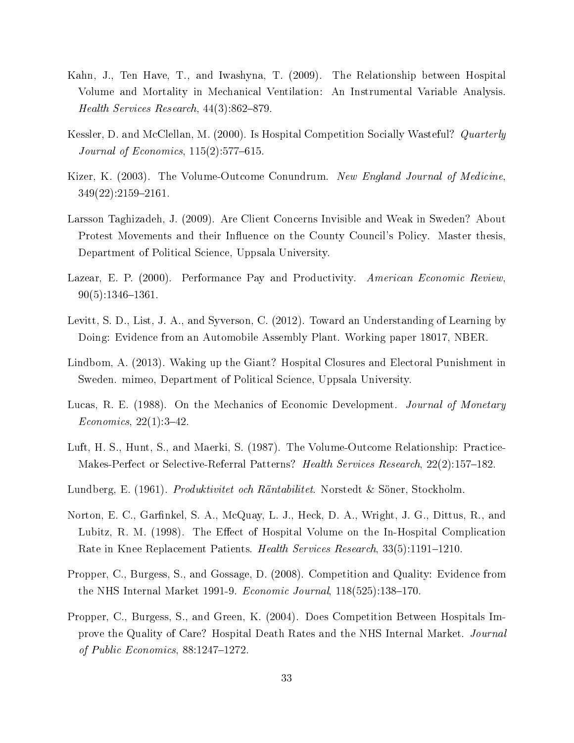- Kahn, J., Ten Have, T., and Iwashyna, T. (2009). The Relationship between Hospital Volume and Mortality in Mechanical Ventilation: An Instrumental Variable Analysis. Health Services Research,  $44(3):862-879$ .
- Kessler, D. and McClellan, M. (2000). Is Hospital Competition Socially Wasteful? *Quarterly* Journal of Economics,  $115(2)$ :577-615.
- Kizer, K. (2003). The Volume-Outcome Conundrum. New England Journal of Medicine.  $349(22):2159-2161.$
- Larsson Taghizadeh, J. (2009). Are Client Concerns Invisible and Weak in Sweden? About Protest Movements and their Influence on the County Council's Policy. Master thesis, Department of Political Science, Uppsala University.
- Lazear, E. P. (2000). Performance Pay and Productivity. American Economic Review.  $90(5):1346-1361.$
- Levitt, S. D., List, J. A., and Syverson, C. (2012). Toward an Understanding of Learning by Doing: Evidence from an Automobile Assembly Plant. Working paper 18017, NBER.
- Lindbom, A. (2013). Waking up the Giant? Hospital Closures and Electoral Punishment in Sweden. mimeo, Department of Political Science, Uppsala University.
- Lucas, R. E. (1988). On the Mechanics of Economic Development. Journal of Monetary  $Economics, 22(1):3-42.$
- Luft, H. S., Hunt, S., and Maerki, S. (1987). The Volume-Outcome Relationship: Practice-Makes-Perfect or Selective-Referral Patterns? Health Services Research, 22(2):157-182.
- Lundberg, E. (1961). *Produktivitet och Räntabilitet*. Norstedt & Söner, Stockholm.
- Norton, E. C., Garfinkel, S. A., McQuay, L. J., Heck, D. A., Wright, J. G., Dittus, R., and Lubitz, R. M. (1998). The Effect of Hospital Volume on the In-Hospital Complication Rate in Knee Replacement Patients. Health Services Research, 33(5):1191-1210.
- Propper, C., Burgess, S., and Gossage, D. (2008). Competition and Quality: Evidence from the NHS Internal Market 1991-9. *Economic Journal*,  $118(525)$ :138-170.
- Propper, C., Burgess, S., and Green, K. (2004). Does Competition Between Hospitals Improve the Quality of Care? Hospital Death Rates and the NHS Internal Market. Journal of Public Economics,  $88:1247-1272$ .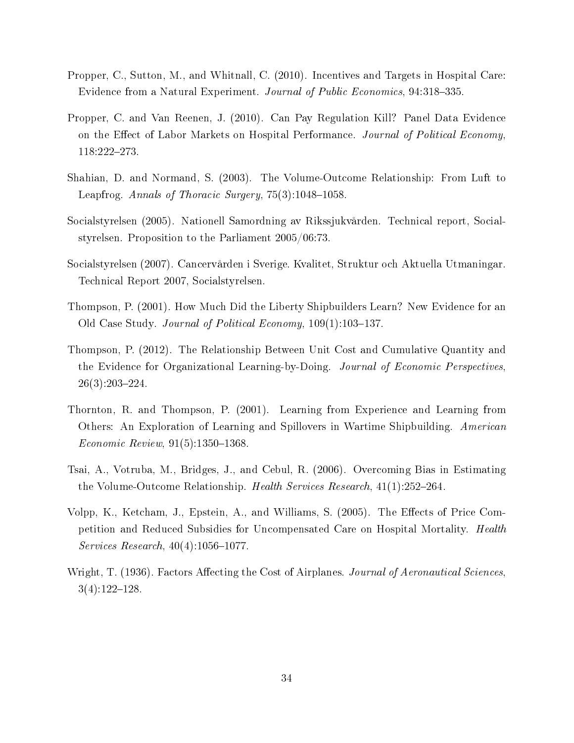- Propper, C., Sutton, M., and Whitnall, C. (2010). Incentives and Targets in Hospital Care: Evidence from a Natural Experiment. Journal of Public Economics, 94:318-335.
- Propper, C. and Van Reenen, J. (2010). Can Pay Regulation Kill? Panel Data Evidence on the Effect of Labor Markets on Hospital Performance. Journal of Political Economy. 118:222-273.
- Shahian, D. and Normand, S. (2003). The Volume-Outcome Relationship: From Luft to Leapfrog. Annals of Thoracic Surgery,  $75(3):1048-1058$ .
- Socialstyrelsen (2005). Nationell Samordning av Rikssjukvården. Technical report, Socialstyrelsen. Proposition to the Parliament 2005/06:73.
- Socialstyrelsen (2007). Cancervården i Sverige. Kvalitet, Struktur och Aktuella Utmaningar. Technical Report 2007, Socialstyrelsen.
- Thompson, P. (2001). How Much Did the Liberty Shipbuilders Learn? New Evidence for an Old Case Study. Journal of Political Economy,  $109(1):103-137$ .
- Thompson, P. (2012). The Relationship Between Unit Cost and Cumulative Quantity and the Evidence for Organizational Learning-by-Doing. Journal of Economic Perspectives,  $26(3):203-224.$
- Thornton, R. and Thompson, P. (2001). Learning from Experience and Learning from Others: An Exploration of Learning and Spillovers in Wartime Shipbuilding. American  $Economic$   $Review, 91(5):1350-1368$ .
- Tsai, A., Votruba, M., Bridges, J., and Cebul, R. (2006). Overcoming Bias in Estimating the Volume-Outcome Relationship. Health Services Research,  $41(1):252-264$ .
- Volpp, K., Ketcham, J., Epstein, A., and Williams, S. (2005). The Effects of Price Competition and Reduced Subsidies for Uncompensated Care on Hospital Mortality. Health  $Services$   $Research$ ,  $40(4):1056-1077$ .
- Wright, T. (1936). Factors Affecting the Cost of Airplanes. Journal of Aeronautical Sciences,  $3(4):122-128.$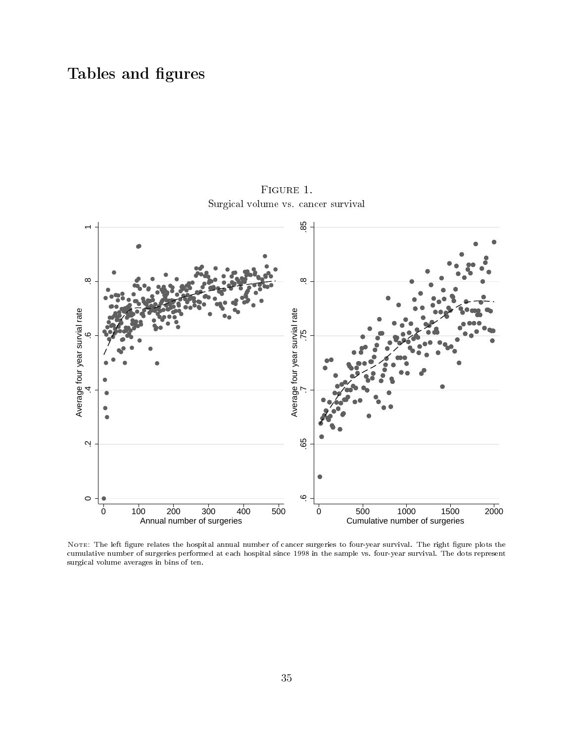# Tables and figures

FIGURE 1. Surgical volume vs. cancer survival



NOTE: The left figure relates the hospital annual number of cancer surgeries to four-year survival. The right figure plots the cumulative number of surgeries performed at each hospital since 1998 in the sample vs. four-year survival. The dots represent surgical volume averages in bins of ten.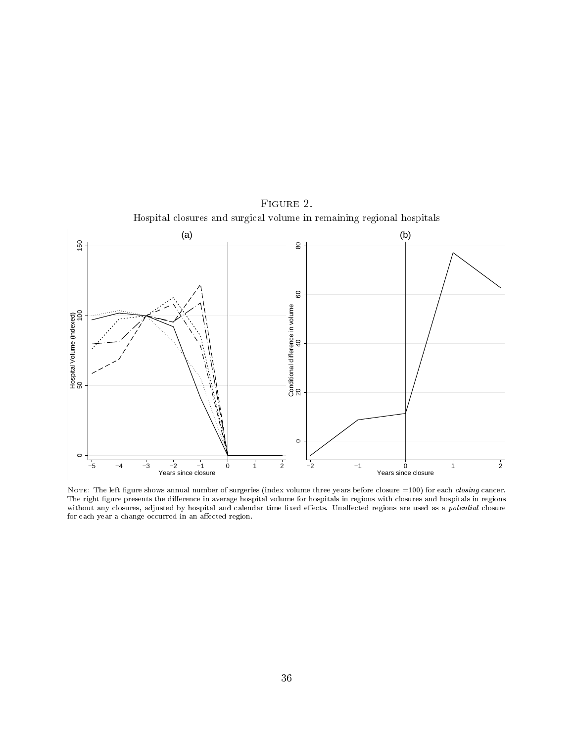

NOTE: The left figure shows annual number of surgeries (index volume three years before closure =100) for each closing cancer. The right figure presents the difference in average hospital volume for hospitals in regions with closures and hospitals in regions without any closures, adjusted by hospital and calendar time fixed effects. Unaffected regions are used as a potential closure for each year a change occurred in an affected region.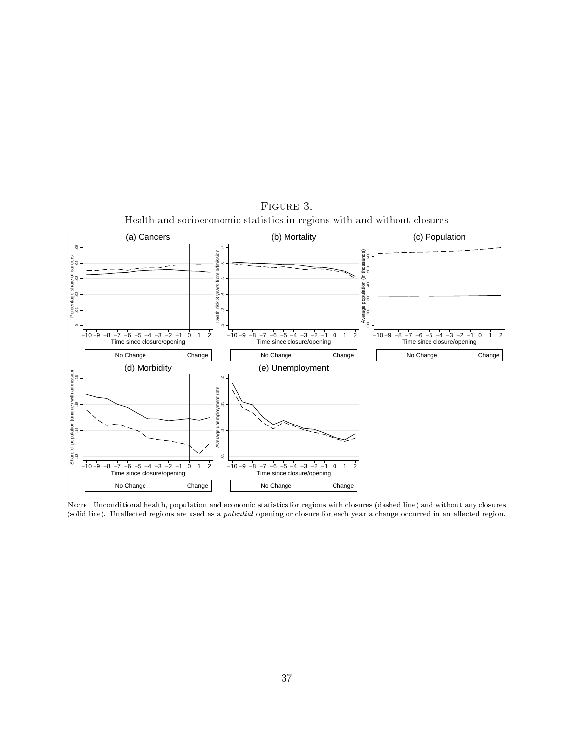

FIGURE 3. Health and socioeconomic statistics in regions with and without closures

Note: Unconditional health, population and economic statistics for regions with closures (dashed line) and without any closures (solid line). Unaffected regions are used as a *potential* opening or closure for each year a change occurred in an affected region.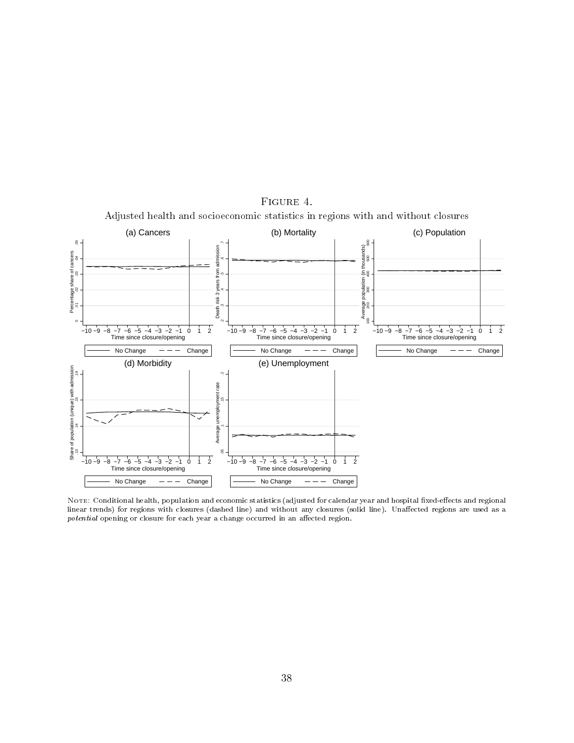

Figure 4. Adjusted health and socioeconomic statistics in regions with and without closures

NOTE: Conditional health, population and economic statistics (adjusted for calendar year and hospital fixed-effects and regional linear trends) for regions with closures (dashed line) and without any closures (solid line). Unaffected regions are used as a  $potential$  opening or closure for each year a change occurred in an affected region.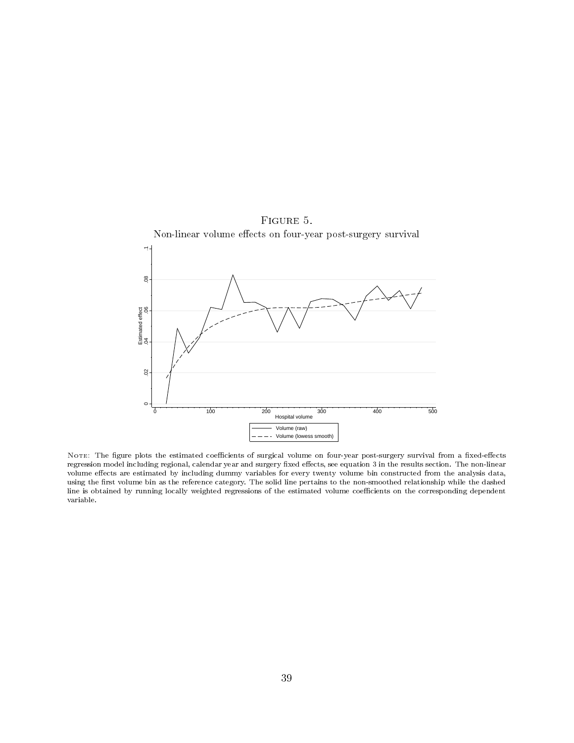

NOTE: The figure plots the estimated coefficients of surgical volume on four-year post-surgery survival from a fixed-effects regression model including regional, calendar year and surgery fixed effects, see equation 3 in the results section. The non-linear volume effects are estimated by including dummy variables for every twenty volume bin constructed from the analysis data, using the first volume bin as the reference category. The solid line pertains to the non-smoothed relationship while the dashed line is obtained by running locally weighted regressions of the estimated volume coefficients on the corresponding dependent variable.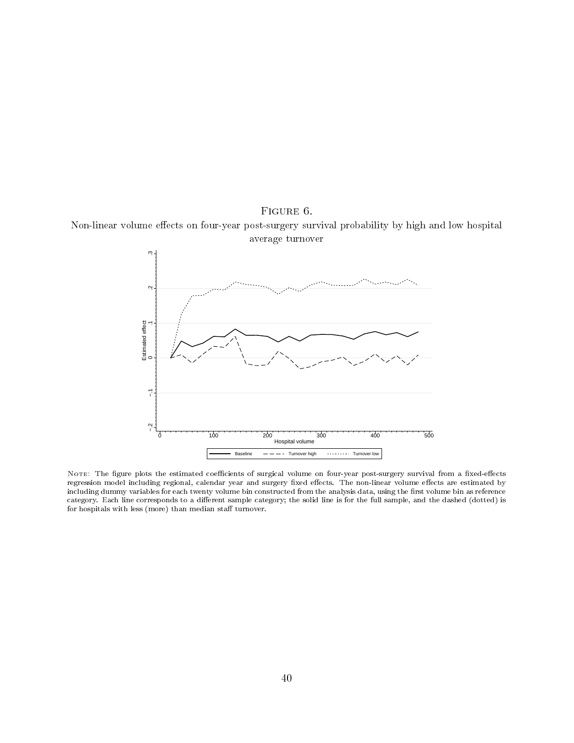FIGURE 6. Non-linear volume effects on four-year post-surgery survival probability by high and low hospital average turnover



NOTE: The figure plots the estimated coefficients of surgical volume on four-year post-surgery survival from a fixed-effects regression model including regional, calendar year and surgery fixed effects. The non-linear volume effects are estimated by including dummy variables for each twenty volume bin constructed from the analysis data, using the first volume bin as reference category. Each line corresponds to a different sample category; the solid line is for the full sample, and the dashed (dotted) is for hospitals with less (more) than median staff turnover.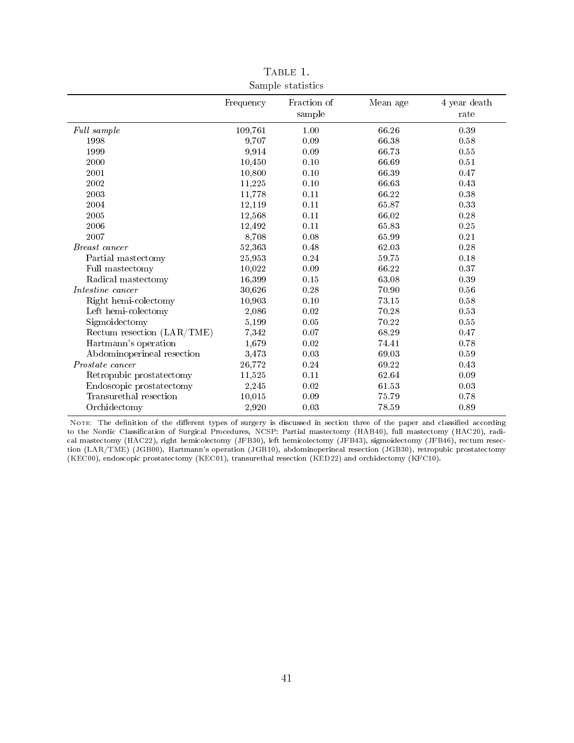| nambro nodomoron           |           |                       |          |                      |  |  |  |
|----------------------------|-----------|-----------------------|----------|----------------------|--|--|--|
|                            | Frequency | Fraction of<br>sample | Mean age | 4 year death<br>rate |  |  |  |
| Full sample                | 109,761   | 1.00                  | 66.26    | 0.39                 |  |  |  |
| 1998                       | 9,707     | 0.09                  | 66.38    | 0.58                 |  |  |  |
| 1999                       | 9,914     | 0.09                  | 66.73    | 0.55                 |  |  |  |
| 2000                       | 10,450    | 0.10                  | 66.69    | 0.51                 |  |  |  |
| 2001                       | 10,800    | 0.10                  | 66.39    | 0.47                 |  |  |  |
| 2002                       | 11,225    | 0.10                  | 66.63    | 0.43                 |  |  |  |
| 2003                       | 11,778    | 0.11                  | 66.22    | 0.38                 |  |  |  |
| 2004                       | 12,119    | 0.11                  | 65.87    | 0.33                 |  |  |  |
| 2005                       | 12,568    | 0.11                  | 66.02    | 0.28                 |  |  |  |
| 2006                       | 12,492    | 0.11                  | 65.83    | $0.25\,$             |  |  |  |
| 2007                       | 8,708     | 0.08                  | 65.99    | 0.21                 |  |  |  |
| Breast cancer              | 52,363    | 0.48                  | 62.03    | 0.28                 |  |  |  |
| Partial mastectomy         | 25,953    | 0.24                  | 59.75    | 0.18                 |  |  |  |
| Full mastectomy            | 10,022    | 0.09                  | 66.22    | 0.37                 |  |  |  |
| Radical mastectomy         | 16,399    | $0.15\,$              | 63.08    | 0.39                 |  |  |  |
| Intestine cancer           | 30,626    | 0.28                  | 70.90    | 0.56                 |  |  |  |
| Right hemi-colectomy       | 10,903    | 0.10                  | 73.15    | 0.58                 |  |  |  |
| Left hemi-colectomy        | 2,086     | 0.02                  | 70.28    | 0.53                 |  |  |  |
| Sigmoidectomy              | 5,199     | 0.05                  | 70.22    | 0.55                 |  |  |  |
| Rectum resection (LAR/TME) | 7,342     | 0.07                  | 68.29    | 0.47                 |  |  |  |
| Hartmann's operation       | 1,679     | 0.02                  | 74.41    | 0.78                 |  |  |  |
| Abdominoperineal resection | 3,473     | 0.03                  | 69.03    | 0.59                 |  |  |  |
| <i>Prostate cancer</i>     | 26,772    | 0.24                  | 69.22    | 0.43                 |  |  |  |
| Retropubic prostatectomy   | 11,525    | 0.11                  | 62.64    | 0.09                 |  |  |  |
| Endoscopic prostatectomy   | 2,245     | 0.02                  | 61.53    | 0.03                 |  |  |  |
| Transurethal resection     | 10,015    | 0.09                  | 75.79    | 0.78                 |  |  |  |
| Orchidectomy               | 2,920     | 0.03                  | 78.59    | 0.89                 |  |  |  |

Table 1. Sample statistics

NOTE: The definition of the different types of surgery is discussed in section three of the paper and classified according to the Nordic Classification of Surgical Procedures, NCSP: Partial mastectomy (HAB40), full mastectomy (HAC20), radical mastectomy (HAC22), right hemicolectomy (JFB30), left hemicolectomy (JFB43), sigmoidectomy (JFB46), rectum resection (LAR/TME) (JGB00), Hartmann's operation (JGB10), abdominoperineal resection (JGB30), retropubic prostatectomy (KEC00), endoscopic prostatectomy (KEC01), transurethal resection (KED22) and orchidectomy (KFC10).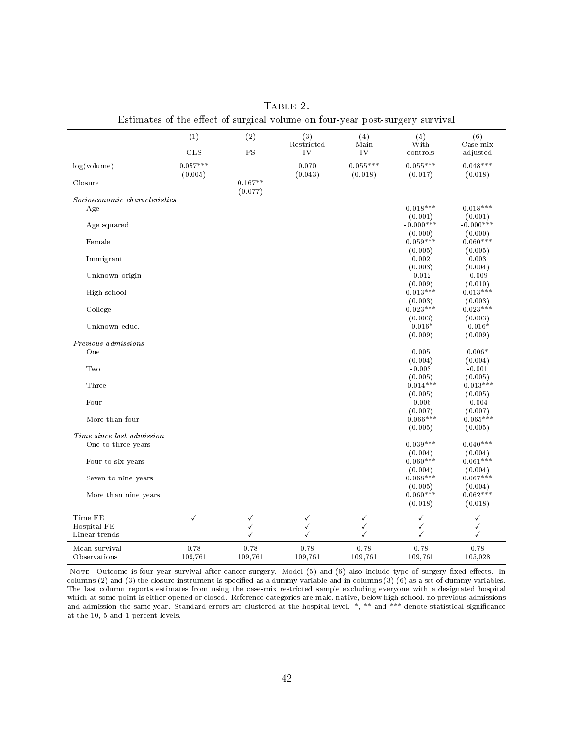|                               | (1)          | (2)                  | (3)<br>Restricted | (4)<br>Main  | (5)<br>With            | (6)<br>Case-mix        |
|-------------------------------|--------------|----------------------|-------------------|--------------|------------------------|------------------------|
|                               | OLS          | $_{\rm FS}$          | IV                | IV           | controls               | adjusted               |
| log(volume)                   | $0.057***$   |                      | 0.070             | $0.055***$   | $0.055***$             | $0.048***$             |
| Closure                       | (0.005)      | $0.167**$<br>(0.077) | (0.043)           | (0.018)      | (0.017)                | (0.018)                |
| Socioeconomic characteristics |              |                      |                   |              |                        |                        |
| Age                           |              |                      |                   |              | $0.018***$             | $0.018***$             |
| Age squared                   |              |                      |                   |              | (0.001)<br>$-0.000***$ | (0.001)<br>$-0.000***$ |
| Female                        |              |                      |                   |              | (0.000)<br>$0.059***$  | (0.000)<br>$0.060***$  |
|                               |              |                      |                   |              | (0.005)                | (0.005)                |
| Immigrant                     |              |                      |                   |              | 0.002                  | 0.003                  |
| Unknown origin                |              |                      |                   |              | (0.003)<br>$-0.012$    | (0.004)<br>$-0.009$    |
|                               |              |                      |                   |              | (0.009)                | (0.010)                |
| High school                   |              |                      |                   |              | $0.013***$             | $0.013***$             |
|                               |              |                      |                   |              | (0.003)                | (0.003)                |
| College                       |              |                      |                   |              | $0.023***$             | $0.023***$             |
|                               |              |                      |                   |              | (0.003)                | (0.003)                |
| Unknown educ.                 |              |                      |                   |              | $-0.016*$              | $-0.016*$              |
|                               |              |                      |                   |              | (0.009)                | (0.009)                |
| Previous admissions           |              |                      |                   |              |                        |                        |
| One                           |              |                      |                   |              | 0.005                  | $0.006*$               |
|                               |              |                      |                   |              | (0.004)<br>$-0.003$    | (0.004)                |
| Two                           |              |                      |                   |              |                        | $-0.001$               |
| Three                         |              |                      |                   |              | (0.005)<br>$-0.014***$ | (0.005)<br>$-0.013***$ |
|                               |              |                      |                   |              |                        |                        |
| Four                          |              |                      |                   |              | (0.005)<br>$-0.006$    | (0.005)<br>$-0.004$    |
|                               |              |                      |                   |              | (0.007)                | (0.007)                |
| More than four                |              |                      |                   |              | $-0.066***$            | $-0.065***$            |
|                               |              |                      |                   |              | (0.005)                | (0.005)                |
| Time since last admission     |              |                      |                   |              |                        |                        |
| One to three years            |              |                      |                   |              | $0.039***$             | $0.040***$             |
|                               |              |                      |                   |              | (0.004)                | (0.004)                |
| Four to six years             |              |                      |                   |              | $0.060***$             | $0.061***$             |
|                               |              |                      |                   |              | (0.004)                | (0.004)                |
| Seven to nine years           |              |                      |                   |              | $0.068***$             | $0.067***$             |
|                               |              |                      |                   |              | (0.005)                | (0.004)                |
| More than nine years          |              |                      |                   |              | $0.060***$             | $0.062***$             |
|                               |              |                      |                   |              | (0.018)                | (0.018)                |
| Time FE                       | $\checkmark$ | $\checkmark$         | ✓                 | $\checkmark$ | ✓                      | $\checkmark$           |
| Hospital FE                   |              | ✓                    | ✓                 | ✓            | ✓                      | √                      |
| Linear trends                 |              | ✓                    | ✓                 | ✓            | ✓                      | $\checkmark$           |
|                               |              |                      |                   |              |                        |                        |
| Mean survival                 | 0.78         | 0.78                 | 0.78              | 0.78         | 0.78                   | 0.78                   |
| Observations                  | 109,761      | 109,761              | 109,761           | 109,761      | 109,761                | 105,028                |

TABLE 2. Estimates of the effect of surgical volume on four-year post-surgery survival

Nore: Outcome is four year survival after cancer surgery. Model (5) and (6) also include type of surgery fixed effects. In columns (2) and (3) the closure instrument is specified as a dummy variable and in columns (3)-(6) as a set of dummy variables. The last column reports estimates from using the case-mix restricted sample excluding everyone with a designated hospital which at some point is either opened or closed. Reference categories are male, native, below high school, no previous admissions and admission the same year. Standard errors are clustered at the hospital level. \*, \*\* and \*\*\* denote statistical significance at the 10, 5 and 1 percent levels.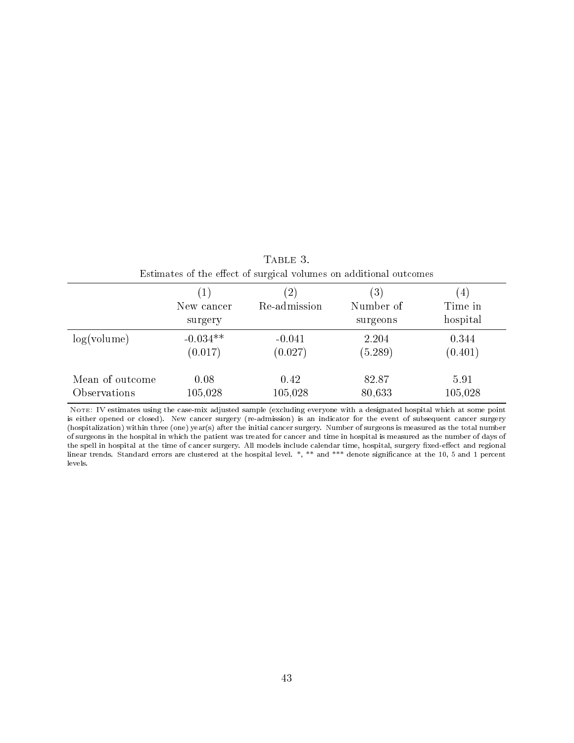| -- -- ---- --- <i>-</i> -- - <i>-</i> - <i>-</i> |                  |                   |                        |          |  |  |
|--------------------------------------------------|------------------|-------------------|------------------------|----------|--|--|
|                                                  | $\left(1\right)$ | $\left( 2\right)$ | $\left 3\right\rangle$ | 4)       |  |  |
|                                                  | New cancer       | Re-admission      | Number of              | Time in  |  |  |
|                                                  | surgery          |                   | surgeons               | hospital |  |  |
| log(volume)                                      | $-0.034**$       | $-0.041$          | 2.204                  | 0.344    |  |  |
|                                                  | (0.017)          | (0.027)           | (5.289)                | (0.401)  |  |  |
| Mean of outcome                                  | 0.08             | 0.42              | 82.87                  | 5.91     |  |  |
| Observations                                     | 105,028          | 105,028           | 80,633                 | 105,028  |  |  |

TABLE 3. Estimates of the effect of surgical volumes on additional outcomes

Note: IV estimates using the case-mix adjusted sample (excluding everyone with a designated hospital which at some point is either opened or closed). New cancer surgery (re-admission) is an indicator for the event of subsequent cancer surgery (hospitalization) within three (one) year(s) after the initial cancer surgery. Number of surgeons is measured as the total number of surgeons in the hospital in which the patient was treated for cancer and time in hospital is measured as the number of days of the spell in hospital at the time of cancer surgery. All models include calendar time, hospital, surgery fixed-effect and regional linear trends. Standard errors are clustered at the hospital level. \*, \*\* and \*\*\* denote significance at the 10, 5 and 1 percent levels.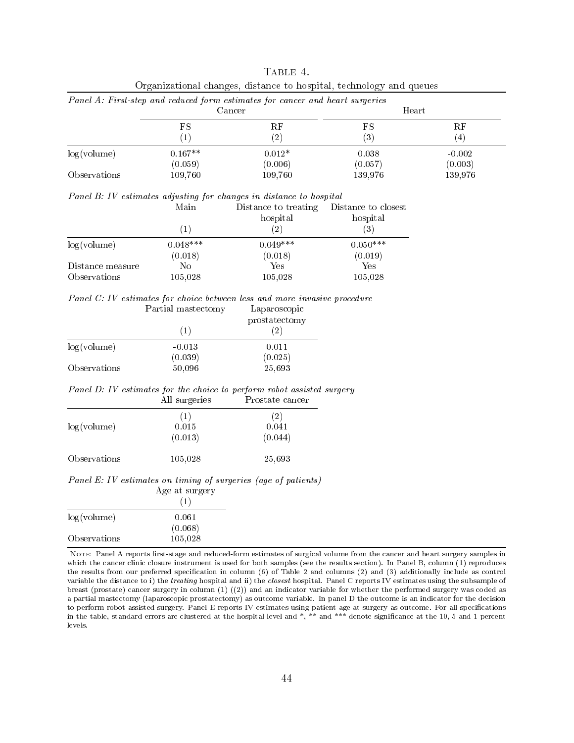|                  |                       | Panel A: First-step and reduced form estimates for cancer and heart surgeries |                                                                                                                              |          |
|------------------|-----------------------|-------------------------------------------------------------------------------|------------------------------------------------------------------------------------------------------------------------------|----------|
|                  | $\rm Cancer$          |                                                                               | Heart                                                                                                                        |          |
|                  | FS                    | $_{\rm RF}$                                                                   | FS                                                                                                                           | RF       |
|                  | (1)                   | (2)                                                                           | (3)                                                                                                                          | (4)      |
| log(volume)      | $0.167**$             | $0.012*$                                                                      | 0.038                                                                                                                        | $-0.002$ |
|                  | (0.059)               | (0.006)                                                                       | (0.057)                                                                                                                      | (0.003)  |
| Observations     | 109,760               | 109,760                                                                       | 139,976                                                                                                                      | 139,976  |
|                  |                       | Panel B: IV estimates adjusting for changes in distance to hospital           |                                                                                                                              |          |
|                  | Main                  | Distance to treating                                                          | Distance to closest                                                                                                          |          |
|                  |                       | hospital                                                                      | hospital                                                                                                                     |          |
|                  | (1)                   | (2)                                                                           | (3)                                                                                                                          |          |
| log(volume)      | $0.048***$            | $0.049***$                                                                    | $0.050***$                                                                                                                   |          |
|                  | (0.018)               | (0.018)                                                                       | (0.019)                                                                                                                      |          |
| Distance measure | No                    | Yes                                                                           | Yes                                                                                                                          |          |
| Observations     | 105,028               | 105,028                                                                       | 105,028                                                                                                                      |          |
|                  |                       | Panel C: IV estimates for choice between less and more invasive procedure     |                                                                                                                              |          |
|                  | Partial mastectomy    | Laparoscopic                                                                  |                                                                                                                              |          |
|                  |                       | prostatectomy                                                                 |                                                                                                                              |          |
|                  | (1)                   | (2)                                                                           |                                                                                                                              |          |
| log(volume)      | $-0.013$              | 0.011                                                                         |                                                                                                                              |          |
|                  | (0.039)               | (0.025)                                                                       |                                                                                                                              |          |
| Observations     | 50,096                | 25,693                                                                        |                                                                                                                              |          |
|                  |                       | Panel D: IV estimates for the choice to perform robot assisted surgery        |                                                                                                                              |          |
|                  | All surgeries         | Prostate cancer                                                               |                                                                                                                              |          |
|                  | (1)                   | (2)                                                                           |                                                                                                                              |          |
| log(volume)      | 0.015                 | 0.041                                                                         |                                                                                                                              |          |
|                  | (0.013)               | (0.044)                                                                       |                                                                                                                              |          |
| Observations     | 105,028               | 25,693                                                                        |                                                                                                                              |          |
|                  | Age at surgery<br>(1) | Panel E: IV estimates on timing of surgeries (age of patients)                |                                                                                                                              |          |
| log(volume)      | 0.061<br>(0.068)      |                                                                               |                                                                                                                              |          |
| Observations     | 105,028               |                                                                               |                                                                                                                              |          |
|                  |                       |                                                                               | NOTE: Panel A reports first-stage and reduced-form estimates of surgical volume from the cancer and heart surgery samples in |          |

|                                                                     | TABLE 4. |  |  |
|---------------------------------------------------------------------|----------|--|--|
| Organizational changes, distance to hospital, technology and queues |          |  |  |

which the cancer clinic closure instrument is used for both samples (see the results section). In Panel B, column (1) reproduces the results from our preferred specification in column (6) of Table 2 and columns (2) and (3) additionally include as control variable the distance to i) the treating hospital and ii) the closest hospital. Panel C reports IV estimates using the subsample of breast (prostate) cancer surgery in column (1) ((2)) and an indicator variable for whether the performed surgery was coded as a partial mastectomy (laparoscopic prostatectomy) as outcome variable. In panel D the outcome is an indicator for the decision to perform robot assisted surgery. Panel E reports IV estimates using patient age at surgery as outcome. For all specifications in the table, standard errors are clustered at the hospital level and \*, \*\* and \*\*\* denote signicance at the 10, 5 and 1 percent levels.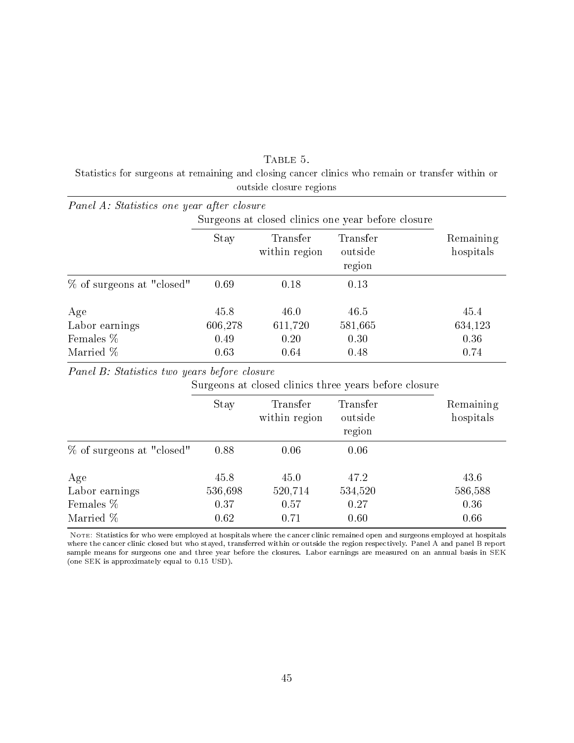| outside closure regions                    |                 |                               |                                                    |                 |  |  |  |  |
|--------------------------------------------|-----------------|-------------------------------|----------------------------------------------------|-----------------|--|--|--|--|
| Panel A: Statistics one year after closure |                 |                               | Surgeons at closed clinics one year before closure |                 |  |  |  |  |
| Stay<br>Transfer<br>within region          |                 | Transfer<br>outside<br>region | Remaining<br>hospitals                             |                 |  |  |  |  |
| % of surgeons at "closed"                  | 0.69            | 0.18                          | 0.13                                               |                 |  |  |  |  |
| Age<br>Labor earnings                      | 45.8<br>606,278 | 46.0<br>611,720               | 46.5<br>581,665                                    | 45.4<br>634,123 |  |  |  |  |
| Females %<br>Married %                     | 0.49<br>0.63    | 0.20<br>0.64                  | 0.30<br>0.48                                       | 0.36<br>0.74    |  |  |  |  |

Table 5. Statistics for surgeons at remaining and closing cancer clinics who remain or transfer within or outside closure regions

Panel B: Statistics two years before closure

Surgeons at closed clinics three years before closure

|                           | Stay    | Transfer<br>within region | Transfer<br>outside<br>region | Remaining<br>hospitals |
|---------------------------|---------|---------------------------|-------------------------------|------------------------|
| % of surgeons at "closed" | 0.88    | 0.06                      | 0.06                          |                        |
| Age                       | 45.8    | 45.0                      | 47.2                          | 43.6                   |
| Labor earnings            | 536,698 | 520,714                   | 534,520                       | 586,588                |
| Females %                 | 0.37    | 0.57                      | 0.27                          | 0.36                   |
| Married %                 | 0.62    | 0.71                      | 0.60                          | 0.66                   |

Note: Statistics for who were employed at hospitals where the cancer clinic remained open and surgeons employed at hospitals where the cancer clinic closed but who stayed, transferred within or outside the region respectively. Panel A and panel B report sample means for surgeons one and three year before the closures. Labor earnings are measured on an annual basis in SEK (one SEK is approximately equal to 0.15 USD).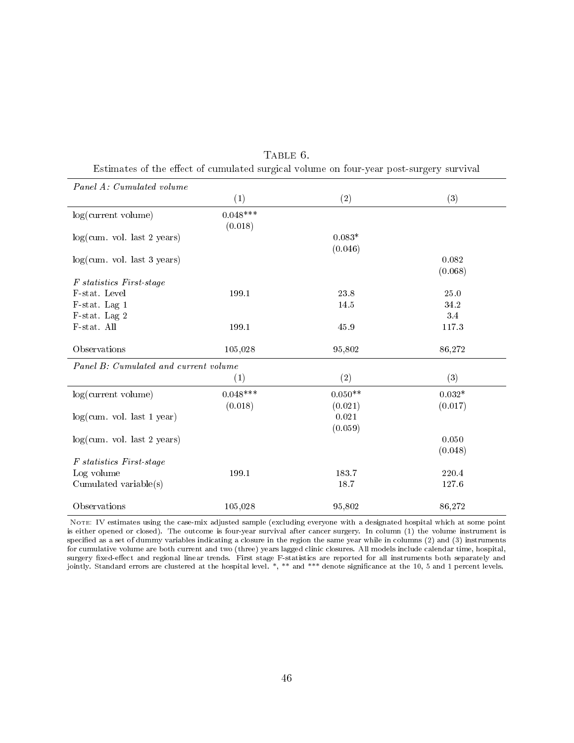| Panel A: Cumulated volume                                     |            |           |          |
|---------------------------------------------------------------|------------|-----------|----------|
|                                                               | (1)        | (2)       | (3)      |
| log(current volume)                                           | $0.048***$ |           |          |
|                                                               | (0.018)    |           |          |
| log(cum. vol. last 2 years)                                   |            | $0.083*$  |          |
|                                                               |            | (0.046)   |          |
| log(cum. vol. last 3 years)                                   |            |           | 0.082    |
|                                                               |            |           | (0.068)  |
| <i>F</i> statistics First-stage                               |            |           |          |
| F-stat. Level                                                 | 199.1      | 23.8      | 25.0     |
| F-stat. Lag 1                                                 |            | 14.5      | 34.2     |
| F-stat. Lag 2                                                 |            |           | 3.4      |
| F-stat. All                                                   | 199.1      | 45.9      | 117.3    |
| Observations                                                  | 105,028    | 95,802    | 86,272   |
| Panel B: Cumulated and current volume                         |            |           |          |
|                                                               | (1)        | (2)       | (3)      |
| log(current volume)                                           | $0.048***$ | $0.050**$ | $0.032*$ |
|                                                               | (0.018)    | (0.021)   | (0.017)  |
| log(cum. vol. last 1 year)                                    |            | 0.021     |          |
|                                                               |            | (0.059)   |          |
| log(cum. vol. last 2 years)                                   |            |           | 0.050    |
|                                                               |            |           | (0.048)  |
| $\boldsymbol{F}$ statistics $\boldsymbol{First\text{-}stage}$ |            |           |          |
| Log volume                                                    | 199.1      | 183.7     | 220.4    |
| $Cumulated\ variable(s)$                                      |            | 18.7      | 127.6    |
| Observations                                                  | 105,028    | 95,802    | 86,272   |

TABLE 6. Estimates of the effect of cumulated surgical volume on four-year post-surgery survival

Note: IV estimates using the case-mix adjusted sample (excluding everyone with a designated hospital which at some point is either opened or closed). The outcome is four-year survival after cancer surgery. In column (1) the volume instrument is specified as a set of dummy variables indicating a closure in the region the same year while in columns (2) and (3) instruments for cumulative volume are both current and two (three) years lagged clinic closures. All models include calendar time, hospital, surgery fixed-effect and regional linear trends. First stage F-statistics are reported for all instruments both separately and jointly. Standard errors are clustered at the hospital level. \*, \*\* and \*\*\* denote signicance at the 10, 5 and 1 percent levels.